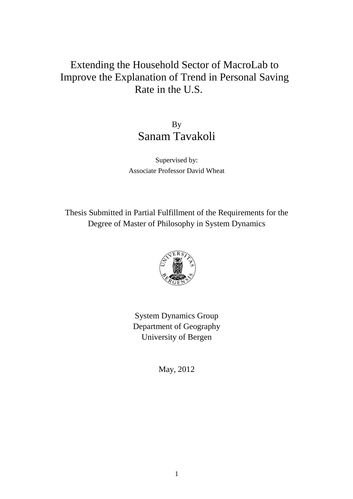# Extending the Household Sector of MacroLab to Improve the Explanation of Trend in Personal Saving Rate in the U.S.

By Sanam Tavakoli

Supervised by: Associate Professor David Wheat

Thesis Submitted in Partial Fulfillment of the Requirements for the Degree of Master of Philosophy in System Dynamics



System Dynamics Group Department of Geography University of Bergen

May, 2012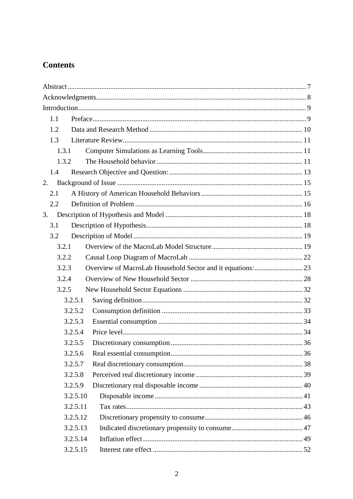# **Contents**

| 1.1   |          |                                                            |  |  |
|-------|----------|------------------------------------------------------------|--|--|
| 1.2   |          |                                                            |  |  |
| 1.3   |          |                                                            |  |  |
| 1.3.1 |          |                                                            |  |  |
| 1.3.2 |          |                                                            |  |  |
| 1.4   |          |                                                            |  |  |
| 2.    |          |                                                            |  |  |
| 2.1   |          |                                                            |  |  |
| 2.2   |          |                                                            |  |  |
| 3.    |          |                                                            |  |  |
| 3.1   |          |                                                            |  |  |
| 3.2   |          |                                                            |  |  |
| 3.2.1 |          |                                                            |  |  |
| 3.2.2 |          |                                                            |  |  |
| 3.2.3 |          | Overview of MacroLab Household Sector and it equations: 23 |  |  |
| 3.2.4 |          |                                                            |  |  |
| 3.2.5 |          |                                                            |  |  |
|       | 3.2.5.1  |                                                            |  |  |
|       | 3.2.5.2  |                                                            |  |  |
|       | 3.2.5.3  |                                                            |  |  |
|       | 3.2.5.4  |                                                            |  |  |
|       | 3.2.5.5  |                                                            |  |  |
|       | 3.2.5.6  |                                                            |  |  |
|       | 3.2.5.7  |                                                            |  |  |
|       | 3.2.5.8  |                                                            |  |  |
|       | 3.2.5.9  |                                                            |  |  |
|       | 3.2.5.10 |                                                            |  |  |
|       | 3.2.5.11 |                                                            |  |  |
|       | 3.2.5.12 |                                                            |  |  |
|       | 3.2.5.13 |                                                            |  |  |
|       | 3.2.5.14 |                                                            |  |  |
|       | 3.2.5.15 |                                                            |  |  |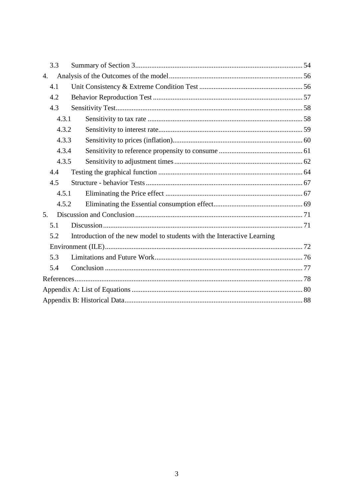| 3.3   |                                                                         |  |  |  |  |
|-------|-------------------------------------------------------------------------|--|--|--|--|
| 4.    |                                                                         |  |  |  |  |
| 4.1   |                                                                         |  |  |  |  |
| 4.2   |                                                                         |  |  |  |  |
| 4.3   |                                                                         |  |  |  |  |
| 4.3.1 |                                                                         |  |  |  |  |
| 4.3.2 |                                                                         |  |  |  |  |
| 4.3.3 |                                                                         |  |  |  |  |
|       | 4.3.4                                                                   |  |  |  |  |
|       | 4.3.5                                                                   |  |  |  |  |
| 4.4   |                                                                         |  |  |  |  |
| 4.5   |                                                                         |  |  |  |  |
| 4.5.1 |                                                                         |  |  |  |  |
| 4.5.2 |                                                                         |  |  |  |  |
| 5.    |                                                                         |  |  |  |  |
| 5.1   |                                                                         |  |  |  |  |
| 5.2   | Introduction of the new model to students with the Interactive Learning |  |  |  |  |
|       |                                                                         |  |  |  |  |
| 5.3   |                                                                         |  |  |  |  |
| 5.4   |                                                                         |  |  |  |  |
|       |                                                                         |  |  |  |  |
|       |                                                                         |  |  |  |  |
|       |                                                                         |  |  |  |  |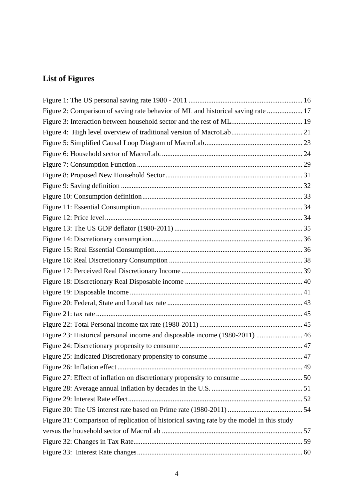# **List of Figures**

| Figure 2: Comparison of saving rate behavior of ML and historical saving rate  17         |  |
|-------------------------------------------------------------------------------------------|--|
|                                                                                           |  |
|                                                                                           |  |
|                                                                                           |  |
|                                                                                           |  |
|                                                                                           |  |
|                                                                                           |  |
|                                                                                           |  |
|                                                                                           |  |
|                                                                                           |  |
|                                                                                           |  |
|                                                                                           |  |
|                                                                                           |  |
|                                                                                           |  |
|                                                                                           |  |
|                                                                                           |  |
|                                                                                           |  |
|                                                                                           |  |
|                                                                                           |  |
|                                                                                           |  |
|                                                                                           |  |
| Figure 23: Historical personal income and disposable income (1980-2011)  46               |  |
|                                                                                           |  |
|                                                                                           |  |
|                                                                                           |  |
|                                                                                           |  |
|                                                                                           |  |
|                                                                                           |  |
|                                                                                           |  |
| Figure 31: Comparison of replication of historical saving rate by the model in this study |  |
|                                                                                           |  |
|                                                                                           |  |
|                                                                                           |  |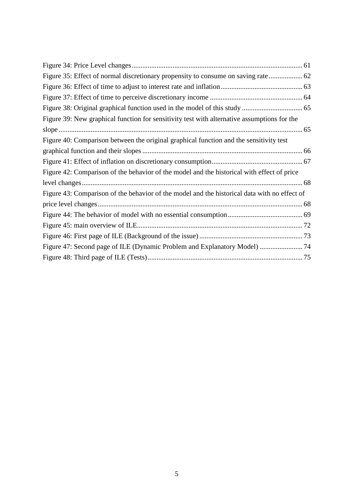| Figure 39: New graphical function for sensitivity test with alternative assumptions for the  |  |
|----------------------------------------------------------------------------------------------|--|
|                                                                                              |  |
| Figure 40: Comparison between the original graphical function and the sensitivity test       |  |
|                                                                                              |  |
|                                                                                              |  |
| Figure 42: Comparison of the behavior of the model and the historical with effect of price   |  |
|                                                                                              |  |
| Figure 43: Comparison of the behavior of the model and the historical data with no effect of |  |
|                                                                                              |  |
|                                                                                              |  |
|                                                                                              |  |
|                                                                                              |  |
| Figure 47: Second page of ILE (Dynamic Problem and Explanatory Model)  74                    |  |
|                                                                                              |  |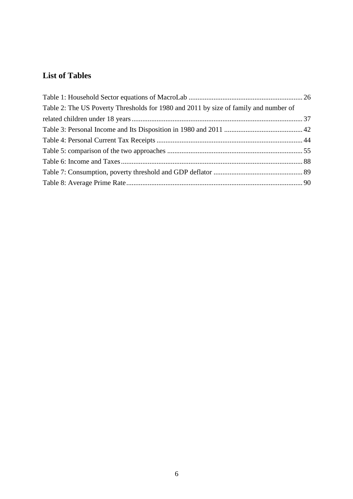# **List of Tables**

| Table 2: The US Poverty Thresholds for 1980 and 2011 by size of family and number of |  |
|--------------------------------------------------------------------------------------|--|
|                                                                                      |  |
|                                                                                      |  |
|                                                                                      |  |
|                                                                                      |  |
|                                                                                      |  |
|                                                                                      |  |
|                                                                                      |  |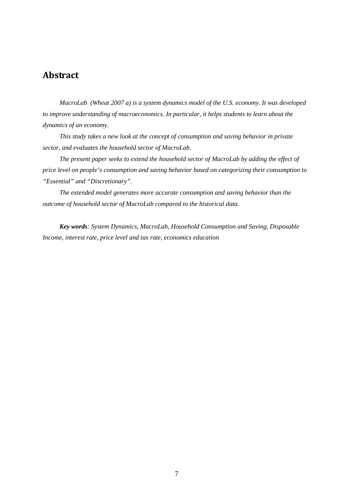# Abstract

*MacroLab (Wheat 2007 a) is a system dynamics model of the U.S. economy. It was developed to improve understanding of macroeconomics. In particular, it helps students to learn about the dynamics of an economy.* 

*This study takes a new look at the concept of consumption and saving behavior in private sector, and evaluates the household sector of MacroLab.* 

*The present paper seeks to extend the household sector of MacroLab by adding the effect of price level on people's consumption and saving behavior based on categorizing their consumption to "Essential" and "Discretionary".* 

*The extended model generates more accurate consumption and saving behavior than the outcome of household sector of MacroLab compared to the historical data.* 

*Key words: System Dynamics, MacroLab, Household Consumption and Saving, Disposable Income, interest rate, price level and tax rate, economics education*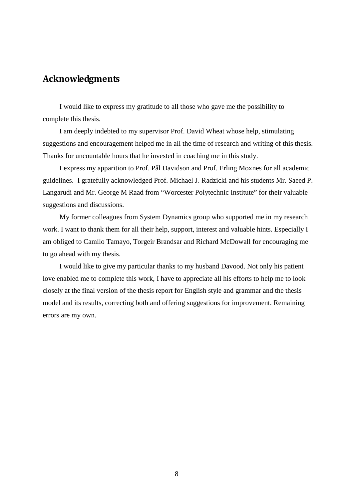## Acknowledgments

I would like to express my gratitude to all those who gave me the possibility to complete this thesis.

I am deeply indebted to my supervisor Prof. David Wheat whose help, stimulating suggestions and encouragement helped me in all the time of research and writing of this thesis. Thanks for uncountable hours that he invested in coaching me in this study.

I express my apparition to Prof. Pål Davidson and Prof. Erling Moxnes for all academic guidelines. I gratefully acknowledged Prof. Michael J. Radzicki and his students Mr. Saeed P. Langarudi and Mr. George M Raad from "Worcester Polytechnic Institute" for their valuable suggestions and discussions.

My former colleagues from System Dynamics group who supported me in my research work. I want to thank them for all their help, support, interest and valuable hints. Especially I am obliged to Camilo Tamayo, Torgeir Brandsar and Richard McDowall for encouraging me to go ahead with my thesis.

I would like to give my particular thanks to my husband Davood. Not only his patient love enabled me to complete this work, I have to appreciate all his efforts to help me to look closely at the final version of the thesis report for English style and grammar and the thesis model and its results, correcting both and offering suggestions for improvement. Remaining errors are my own.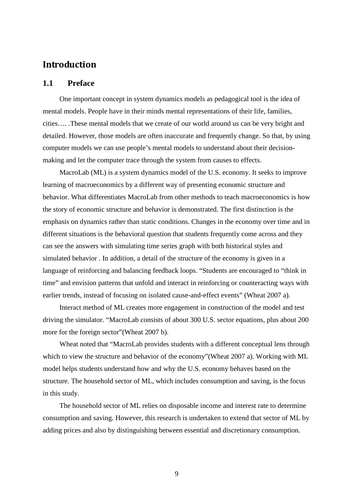# Introduction

### **1.1 Preface**

One important concept in system dynamics models as pedagogical tool is the idea of mental models. People have in their minds mental representations of their life, families, cities…. .These mental models that we create of our world around us can be very bright and detailed. However, those models are often inaccurate and frequently change. So that, by using computer models we can use people's mental models to understand about their decisionmaking and let the computer trace through the system from causes to effects.

MacroLab (ML) is a system dynamics model of the U.S. economy. It seeks to improve learning of macroeconomics by a different way of presenting economic structure and behavior. What differentiates MacroLab from other methods to teach macroeconomics is how the story of economic structure and behavior is demonstrated. The first distinction is the emphasis on dynamics rather than static conditions. Changes in the economy over time and in different situations is the behavioral question that students frequently come across and they can see the answers with simulating time series graph with both historical styles and simulated behavior . In addition, a detail of the structure of the economy is given in a language of reinforcing and balancing feedback loops. "Students are encouraged to "think in time" and envision patterns that unfold and interact in reinforcing or counteracting ways with earlier trends, instead of focusing on isolated cause-and-effect events" (Wheat 2007 a).

Interact method of ML creates more engagement in construction of the model and test driving the simulator. "MacroLab consists of about 300 U.S. sector equations, plus about 200 more for the foreign sector"(Wheat 2007 b).

Wheat noted that "MacroLab provides students with a different conceptual lens through which to view the structure and behavior of the economy"(Wheat 2007 a). Working with ML model helps students understand how and why the U.S. economy behaves based on the structure. The household sector of ML, which includes consumption and saving, is the focus in this study.

The household sector of ML relies on disposable income and interest rate to determine consumption and saving. However, this research is undertaken to extend that sector of ML by adding prices and also by distinguishing between essential and discretionary consumption.

9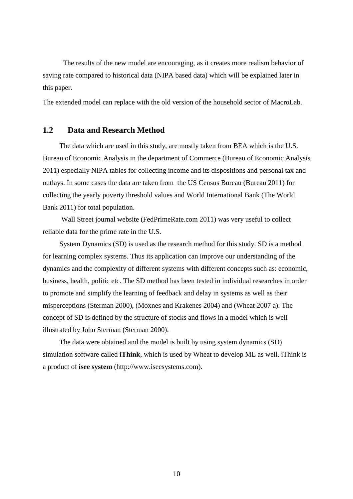The results of the new model are encouraging, as it creates more realism behavior of saving rate compared to historical data (NIPA based data) which will be explained later in this paper.

The extended model can replace with the old version of the household sector of MacroLab.

### **1.2 Data and Research Method**

The data which are used in this study, are mostly taken from BEA which is the U.S. Bureau of Economic Analysis in the department of Commerce (Bureau of Economic Analysis 2011) especially NIPA tables for collecting income and its dispositions and personal tax and outlays. In some cases the data are taken from the US Census Bureau (Bureau 2011) for collecting the yearly poverty threshold values and World International Bank (The World Bank 2011) for total population.

 Wall Street journal website (FedPrimeRate.com 2011) was very useful to collect reliable data for the prime rate in the U.S.

System Dynamics (SD) is used as the research method for this study. SD is a method for learning complex systems. Thus its application can improve our understanding of the dynamics and the complexity of different systems with different concepts such as: economic, business, health, politic etc. The SD method has been tested in individual researches in order to promote and simplify the learning of feedback and delay in systems as well as their misperceptions (Sterman 2000), (Moxnes and Krakenes 2004) and (Wheat 2007 a). The concept of SD is defined by the structure of stocks and flows in a model which is well illustrated by John Sterman (Sterman 2000).

The data were obtained and the model is built by using system dynamics (SD) simulation software called **iThink**, which is used by Wheat to develop ML as well. iThink is a product of **isee system** (http://www.iseesystems.com).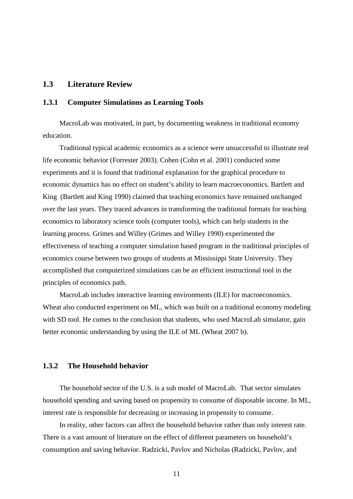### **1.3 Literature Review**

### **1.3.1 Computer Simulations as Learning Tools**

MacroLab was motivated, in part, by documenting weakness in traditional economy education.

Traditional typical academic economics as a science were unsuccessful to illustrate real life economic behavior (Forrester 2003). Cohen (Cohn et al. 2001) conducted some experiments and it is found that traditional explanation for the graphical procedure to economic dynamics has no effect on student's ability to learn macroeconomics. Bartlett and King (Bartlett and King 1990) claimed that teaching economics have remained unchanged over the last years. They traced advances in transforming the traditional formats for teaching economics to laboratory science tools (computer tools), which can help students in the learning process. Grimes and Willey (Grimes and Willey 1990) experimented the effectiveness of teaching a computer simulation based program in the traditional principles of economics course between two groups of students at Mississippi State University. They accomplished that computerized simulations can be an efficient instructional tool in the principles of economics path.

MacroLab includes interactive learning environments (ILE) for macroeconomics. Wheat also conducted experiment on ML, which was built on a traditional economy modeling with SD tool. He comes to the conclusion that students, who used MacroLab simulator, gain better economic understanding by using the ILE of ML (Wheat 2007 b).

#### **1.3.2 The Household behavior**

The household sector of the U.S. is a sub model of MacroLab. That sector simulates household spending and saving based on propensity to consume of disposable income. In ML, interest rate is responsible for decreasing or increasing in propensity to consume.

In reality, other factors can affect the household behavior rather than only interest rate. There is a vast amount of literature on the effect of different parameters on household's consumption and saving behavior. Radzicki, Pavlov and Nicholas (Radzicki, Pavlov, and

11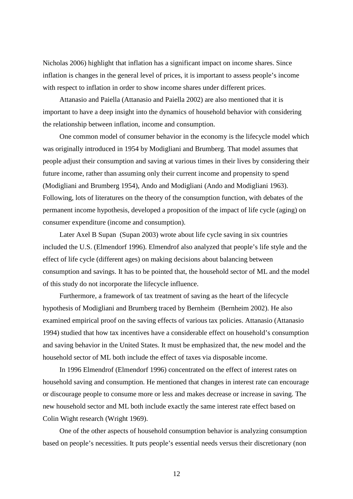Nicholas 2006) highlight that inflation has a significant impact on income shares. Since inflation is changes in the general level of prices, it is important to assess people's income with respect to inflation in order to show income shares under different prices.

Attanasio and Paiella (Attanasio and Paiella 2002) are also mentioned that it is important to have a deep insight into the dynamics of household behavior with considering the relationship between inflation, income and consumption.

One common model of consumer behavior in the economy is the lifecycle model which was originally introduced in 1954 by Modigliani and Brumberg. That model assumes that people adjust their consumption and saving at various times in their lives by considering their future income, rather than assuming only their current income and propensity to spend (Modigliani and Brumberg 1954), Ando and Modigliani (Ando and Modigliani 1963). Following, lots of literatures on the theory of the consumption function, with debates of the permanent income hypothesis, developed a proposition of the impact of life cycle (aging) on consumer expenditure (income and consumption).

Later Axel B Supan (Supan 2003) wrote about life cycle saving in six countries included the U.S. (Elmendorf 1996). Elmendrof also analyzed that people's life style and the effect of life cycle (different ages) on making decisions about balancing between consumption and savings. It has to be pointed that, the household sector of ML and the model of this study do not incorporate the lifecycle influence.

Furthermore, a framework of tax treatment of saving as the heart of the lifecycle hypothesis of Modigliani and Brumberg traced by Bernheim (Bernheim 2002). He also examined empirical proof on the saving effects of various tax policies. Attanasio (Attanasio 1994) studied that how tax incentives have a considerable effect on household's consumption and saving behavior in the United States. It must be emphasized that, the new model and the household sector of ML both include the effect of taxes via disposable income.

In 1996 Elmendrof (Elmendorf 1996) concentrated on the effect of interest rates on household saving and consumption. He mentioned that changes in interest rate can encourage or discourage people to consume more or less and makes decrease or increase in saving. The new household sector and ML both include exactly the same interest rate effect based on Colin Wight research (Wright 1969).

One of the other aspects of household consumption behavior is analyzing consumption based on people's necessities. It puts people's essential needs versus their discretionary (non

12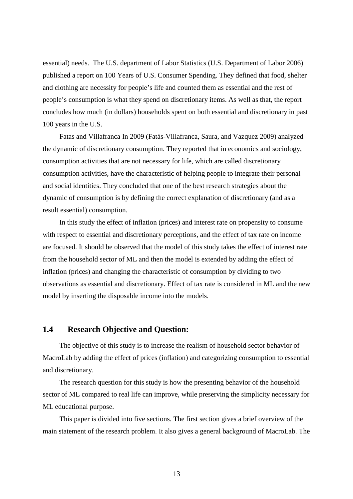essential) needs. The U.S. department of Labor Statistics (U.S. Department of Labor 2006) published a report on 100 Years of U.S. Consumer Spending. They defined that food, shelter and clothing are necessity for people's life and counted them as essential and the rest of people's consumption is what they spend on discretionary items. As well as that, the report concludes how much (in dollars) households spent on both essential and discretionary in past 100 years in the U.S.

Fatas and Villafranca In 2009 (Fatás-Villafranca, Saura, and Vazquez 2009) analyzed the dynamic of discretionary consumption. They reported that in economics and sociology, consumption activities that are not necessary for life, which are called discretionary consumption activities, have the characteristic of helping people to integrate their personal and social identities. They concluded that one of the best research strategies about the dynamic of consumption is by defining the correct explanation of discretionary (and as a result essential) consumption.

In this study the effect of inflation (prices) and interest rate on propensity to consume with respect to essential and discretionary perceptions, and the effect of tax rate on income are focused. It should be observed that the model of this study takes the effect of interest rate from the household sector of ML and then the model is extended by adding the effect of inflation (prices) and changing the characteristic of consumption by dividing to two observations as essential and discretionary. Effect of tax rate is considered in ML and the new model by inserting the disposable income into the models.

### **1.4 Research Objective and Question:**

The objective of this study is to increase the realism of household sector behavior of MacroLab by adding the effect of prices (inflation) and categorizing consumption to essential and discretionary.

The research question for this study is how the presenting behavior of the household sector of ML compared to real life can improve, while preserving the simplicity necessary for ML educational purpose.

This paper is divided into five sections. The first section gives a brief overview of the main statement of the research problem. It also gives a general background of MacroLab. The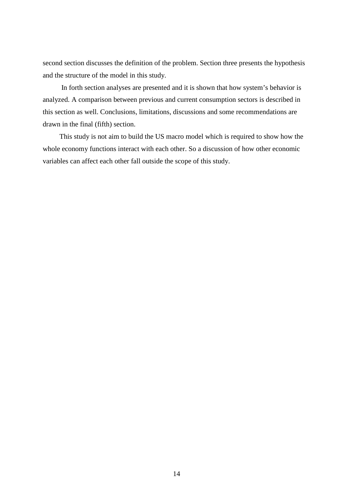second section discusses the definition of the problem. Section three presents the hypothesis and the structure of the model in this study.

 In forth section analyses are presented and it is shown that how system's behavior is analyzed. A comparison between previous and current consumption sectors is described in this section as well. Conclusions, limitations, discussions and some recommendations are drawn in the final (fifth) section.

This study is not aim to build the US macro model which is required to show how the whole economy functions interact with each other. So a discussion of how other economic variables can affect each other fall outside the scope of this study.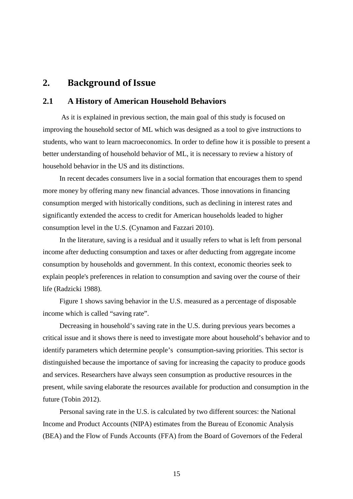## **2.** Background of Issue

### **2.1 A History of American Household Behaviors**

 As it is explained in previous section, the main goal of this study is focused on improving the household sector of ML which was designed as a tool to give instructions to students, who want to learn macroeconomics. In order to define how it is possible to present a better understanding of household behavior of ML, it is necessary to review a history of household behavior in the US and its distinctions.

In recent decades consumers live in a social formation that encourages them to spend more money by offering many new financial advances. Those innovations in financing consumption merged with historically conditions, such as declining in interest rates and significantly extended the access to credit for American households leaded to higher consumption level in the U.S. (Cynamon and Fazzari 2010).

In the literature, saving is a residual and it usually refers to what is left from personal income after deducting consumption and taxes or after deducting from aggregate income consumption by households and government. In this context, economic theories seek to explain people's preferences in relation to consumption and saving over the course of their life (Radzicki 1988).

Figure 1 shows saving behavior in the U.S. measured as a percentage of disposable income which is called "saving rate".

Decreasing in household's saving rate in the U.S. during previous years becomes a critical issue and it shows there is need to investigate more about household's behavior and to identify parameters which determine people's consumption-saving priorities. This sector is distinguished because the importance of saving for increasing the capacity to produce goods and services. Researchers have always seen consumption as productive resources in the present, while saving elaborate the resources available for production and consumption in the future (Tobin 2012).

Personal saving rate in the U.S. is calculated by two different sources: the National Income and Product Accounts (NIPA) estimates from the Bureau of Economic Analysis (BEA) and the Flow of Funds Accounts (FFA) from the Board of Governors of the Federal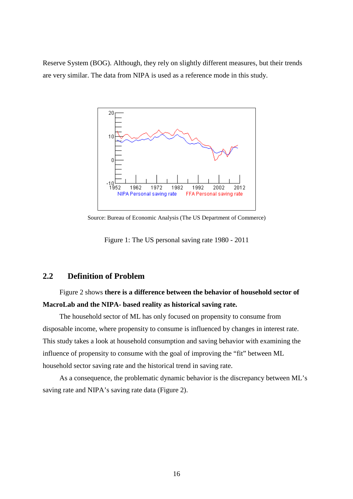Reserve System (BOG). Although, they rely on slightly different measures, but their trends are very similar. The data from NIPA is used as a reference mode in this study.



Source: Bureau of Economic Analysis (The US Department of Commerce)

Figure 1: The US personal saving rate 1980 - 2011

### **2.2 Definition of Problem**

# Figure 2 shows **there is a difference between the behavior of household sector of MacroLab and the NIPA- based reality as historical saving rate.**

The household sector of ML has only focused on propensity to consume from disposable income, where propensity to consume is influenced by changes in interest rate. This study takes a look at household consumption and saving behavior with examining the influence of propensity to consume with the goal of improving the "fit" between ML household sector saving rate and the historical trend in saving rate.

As a consequence, the problematic dynamic behavior is the discrepancy between ML's saving rate and NIPA's saving rate data (Figure 2).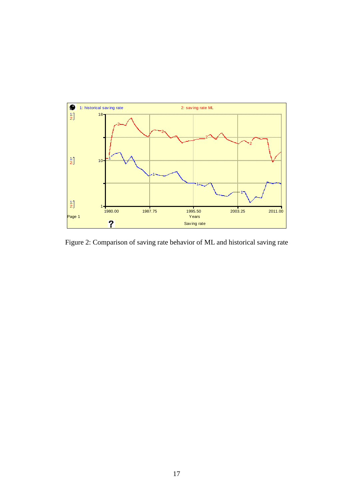

Figure 2: Comparison of saving rate behavior of ML and historical saving rate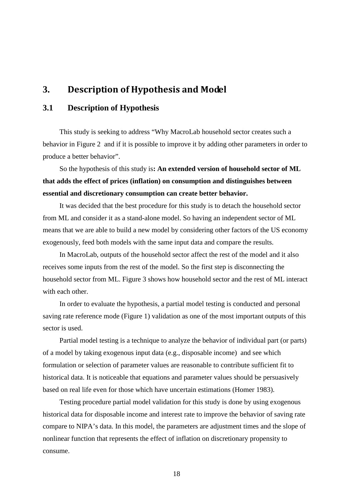## **3.** Description of Hypothesis and Model

### **3.1 Description of Hypothesis**

This study is seeking to address "Why MacroLab household sector creates such a behavior in Figure 2 and if it is possible to improve it by adding other parameters in order to produce a better behavior".

So the hypothesis of this study is**: An extended version of household sector of ML that adds the effect of prices (inflation) on consumption and distinguishes between essential and discretionary consumption can create better behavior.**

It was decided that the best procedure for this study is to detach the household sector from ML and consider it as a stand-alone model. So having an independent sector of ML means that we are able to build a new model by considering other factors of the US economy exogenously, feed both models with the same input data and compare the results.

In MacroLab, outputs of the household sector affect the rest of the model and it also receives some inputs from the rest of the model. So the first step is disconnecting the household sector from ML. Figure 3 shows how household sector and the rest of ML interact with each other

In order to evaluate the hypothesis, a partial model testing is conducted and personal saving rate reference mode (Figure 1) validation as one of the most important outputs of this sector is used.

Partial model testing is a technique to analyze the behavior of individual part (or parts) of a model by taking exogenous input data (e.g., disposable income) and see which formulation or selection of parameter values are reasonable to contribute sufficient fit to historical data. It is noticeable that equations and parameter values should be persuasively based on real life even for those which have uncertain estimations (Homer 1983).

Testing procedure partial model validation for this study is done by using exogenous historical data for disposable income and interest rate to improve the behavior of saving rate compare to NIPA's data. In this model, the parameters are adjustment times and the slope of nonlinear function that represents the effect of inflation on discretionary propensity to consume.

18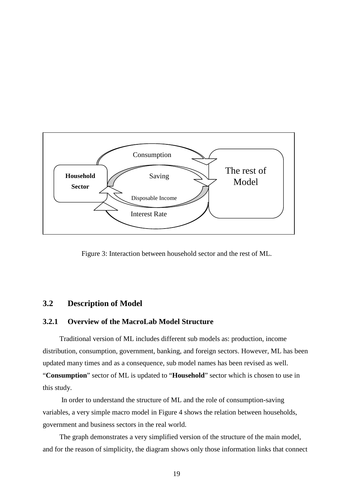

Figure 3: Interaction between household sector and the rest of ML.

### **3.2 Description of Model**

### **3.2.1 Overview of the MacroLab Model Structure**

Traditional version of ML includes different sub models as: production, income distribution, consumption, government, banking, and foreign sectors. However, ML has been updated many times and as a consequence, sub model names has been revised as well. "**Consumption**" sector of ML is updated to "**Household**" sector which is chosen to use in this study.

 In order to understand the structure of ML and the role of consumption-saving variables, a very simple macro model in Figure 4 shows the relation between households, government and business sectors in the real world.

The graph demonstrates a very simplified version of the structure of the main model, and for the reason of simplicity, the diagram shows only those information links that connect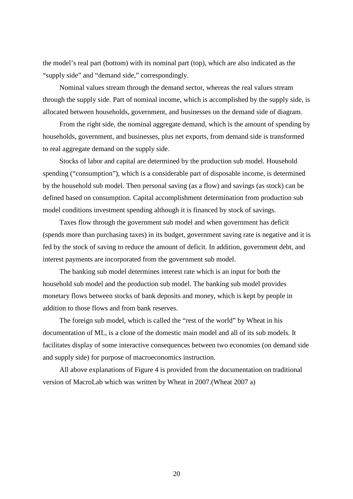the model's real part (bottom) with its nominal part (top), which are also indicated as the "supply side" and "demand side," correspondingly.

Nominal values stream through the demand sector, whereas the real values stream through the supply side. Part of nominal income, which is accomplished by the supply side, is allocated between households, government, and businesses on the demand side of diagram.

From the right side, the nominal aggregate demand, which is the amount of spending by households, government, and businesses, plus net exports, from demand side is transformed to real aggregate demand on the supply side.

Stocks of labor and capital are determined by the production sub model. Household spending ("consumption"), which is a considerable part of disposable income, is determined by the household sub model. Then personal saving (as a flow) and savings (as stock) can be defined based on consumption. Capital accomplishment determination from production sub model conditions investment spending although it is financed by stock of savings.

Taxes flow through the government sub model and when government has deficit (spends more than purchasing taxes) in its budget, government saving rate is negative and it is fed by the stock of saving to reduce the amount of deficit. In addition, government debt, and interest payments are incorporated from the government sub model.

The banking sub model determines interest rate which is an input for both the household sub model and the production sub model. The banking sub model provides monetary flows between stocks of bank deposits and money, which is kept by people in addition to those flows and from bank reserves.

The foreign sub model, which is called the "rest of the world" by Wheat in his documentation of ML, is a clone of the domestic main model and all of its sub models. It facilitates display of some interactive consequences between two economies (on demand side and supply side) for purpose of macroeconomics instruction.

All above explanations of Figure 4 is provided from the documentation on traditional version of MacroLab which was written by Wheat in 2007.(Wheat 2007 a)

20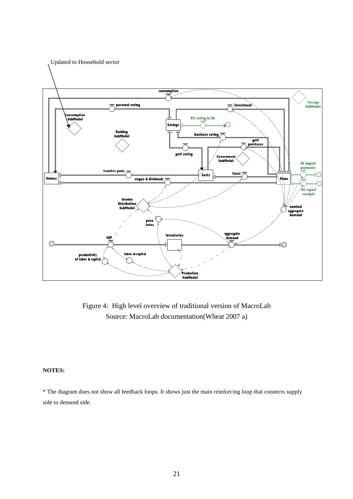

Figure 4: High level overview of traditional version of MacroLab Source: MacroLab documentation(Wheat 2007 a)

#### **NOTES:**

\* The diagram does not show all feedback loops. It shows just the main reinforcing loop that connects supply side to demand side.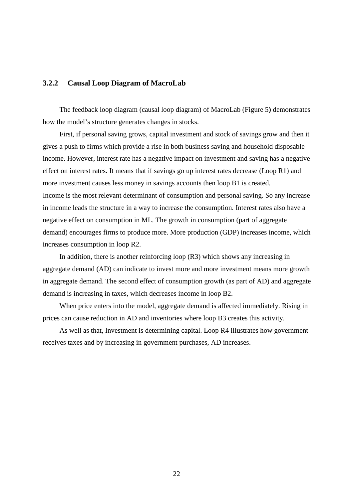### **3.2.2 Causal Loop Diagram of MacroLab**

The feedback loop diagram (causal loop diagram) of MacroLab (Figure 5**)** demonstrates how the model's structure generates changes in stocks.

First, if personal saving grows, capital investment and stock of savings grow and then it gives a push to firms which provide a rise in both business saving and household disposable income. However, interest rate has a negative impact on investment and saving has a negative effect on interest rates. It means that if savings go up interest rates decrease (Loop R1) and more investment causes less money in savings accounts then loop B1 is created. Income is the most relevant determinant of consumption and personal saving. So any increase in income leads the structure in a way to increase the consumption. Interest rates also have a negative effect on consumption in ML. The growth in consumption (part of aggregate demand) encourages firms to produce more. More production (GDP) increases income, which increases consumption in loop R2.

In addition, there is another reinforcing loop (R3) which shows any increasing in aggregate demand (AD) can indicate to invest more and more investment means more growth in aggregate demand. The second effect of consumption growth (as part of AD) and aggregate demand is increasing in taxes, which decreases income in loop B2.

When price enters into the model, aggregate demand is affected immediately. Rising in prices can cause reduction in AD and inventories where loop B3 creates this activity.

As well as that, Investment is determining capital. Loop R4 illustrates how government receives taxes and by increasing in government purchases, AD increases.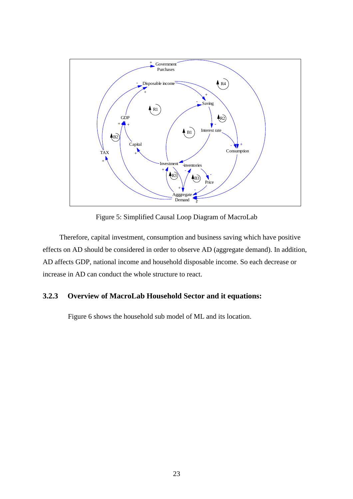

Figure 5: Simplified Causal Loop Diagram of MacroLab

Therefore, capital investment, consumption and business saving which have positive effects on AD should be considered in order to observe AD (aggregate demand). In addition, AD affects GDP, national income and household disposable income. So each decrease or increase in AD can conduct the whole structure to react.

### **3.2.3 Overview of MacroLab Household Sector and it equations:**

Figure 6 shows the household sub model of ML and its location.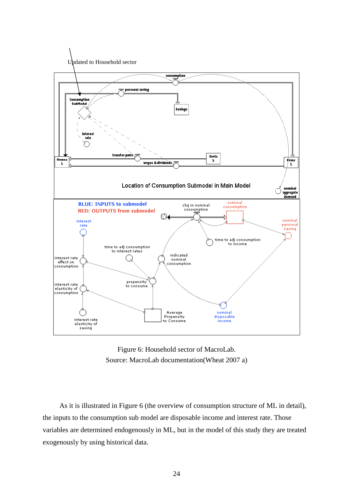



As it is illustrated in Figure 6 (the overview of consumption structure of ML in detail), the inputs to the consumption sub model are disposable income and interest rate. Those variables are determined endogenously in ML, but in the model of this study they are treated exogenously by using historical data.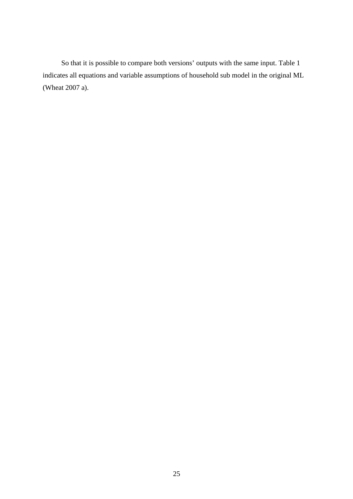So that it is possible to compare both versions' outputs with the same input. Table 1 indicates all equations and variable assumptions of household sub model in the original ML (Wheat 2007 a).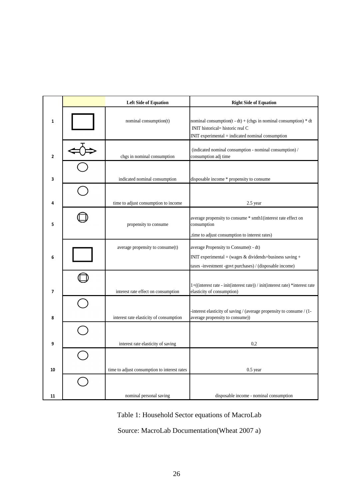|                          | <b>Left Side of Equation</b>                 | <b>Right Side of Equation</b>                                                                                                                                    |
|--------------------------|----------------------------------------------|------------------------------------------------------------------------------------------------------------------------------------------------------------------|
| 1                        | nominal consumption(t)                       | nominal consumption( $t - dt$ ) + (chgs in nominal consumption) * dt<br>INIT historical= historic real C<br>$INT$ experimental $=$ indicated nominal consumption |
| $\overline{2}$           | chgs in nominal consumption                  | (indicated nominal consumption - nominal consumption) /<br>consumption adj time                                                                                  |
| 3                        | indicated nominal consumption                | disposable income * propensity to consume                                                                                                                        |
| 4                        | time to adjust consumption to income         | 2.5 year                                                                                                                                                         |
| 5                        | propensity to consume                        | average propensity to consume * smth1(interest rate effect on<br>consumption<br>,time to adjust consumption to interest rates)                                   |
| 6                        | average propensity to consume(t)             | average Propensity to Consume(t - dt)<br>INIT experimental = (wages $&$ dividends+business saving +<br>taxes -investment -govt purchases) / (disposable income)  |
| $\overline{\phantom{a}}$ | interest rate effect on consumption          | 1+((interest rate - init(interest rate)) / init(interest rate) *interest rate<br>elasticity of consumption)                                                      |
| 8                        | interest rate elasticity of consumption      | -interest elasticity of saving / (average propensity to consume / $(1 -$<br>average propensity to consume))                                                      |
| 9                        | interest rate elasticity of saving           | 0.2                                                                                                                                                              |
|                          |                                              |                                                                                                                                                                  |
| 10                       | time to adjust consumption to interest rates | $0.5$ year                                                                                                                                                       |
| 11                       | nominal personal saving                      | disposable income - nominal consumption                                                                                                                          |

Table 1: Household Sector equations of MacroLab

Source: MacroLab Documentation(Wheat 2007 a)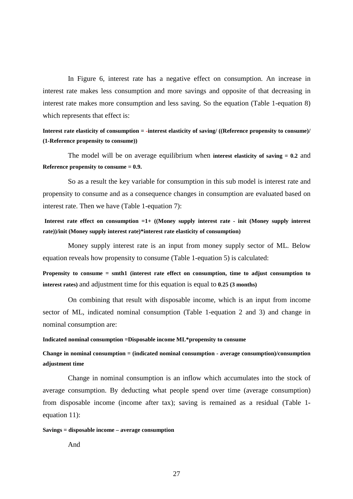In Figure 6, interest rate has a negative effect on consumption. An increase in interest rate makes less consumption and more savings and opposite of that decreasing in interest rate makes more consumption and less saving. So the equation (Table 1-equation 8) which represents that effect is:

**Interest rate elasticity of consumption = -interest elasticity of saving/ ((Reference propensity to consume)/ (1-Reference propensity to consume))** 

The model will be on average equilibrium when **interest elasticity of saving = 0.2** and **Reference propensity to consume = 0.9.** 

So as a result the key variable for consumption in this sub model is interest rate and propensity to consume and as a consequence changes in consumption are evaluated based on interest rate. Then we have (Table 1-equation 7):

**Interest rate effect on consumption =1+ ((Money supply interest rate - init (Money supply interest rate))/init (Money supply interest rate)\*interest rate elasticity of consumption)** 

Money supply interest rate is an input from money supply sector of ML. Below equation reveals how propensity to consume (Table 1-equation 5) is calculated:

**Propensity to consume = smth1 (interest rate effect on consumption, time to adjust consumption to interest rates)** and adjustment time for this equation is equal to **0.25 (3 months)** 

On combining that result with disposable income, which is an input from income sector of ML, indicated nominal consumption (Table 1-equation 2 and 3) and change in nominal consumption are:

**Indicated nominal consumption =Disposable income ML\*propensity to consume** 

**Change in nominal consumption = (indicated nominal consumption - average consumption)/consumption adjustment time** 

Change in nominal consumption is an inflow which accumulates into the stock of average consumption. By deducting what people spend over time (average consumption) from disposable income (income after tax); saving is remained as a residual (Table 1 equation 11):

#### **Savings = disposable income – average consumption**

And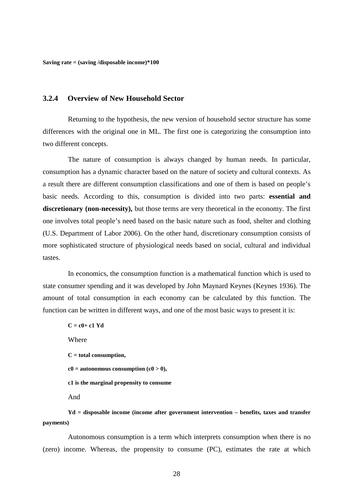**Saving rate = (saving /disposable income)\*100** 

### **3.2.4 Overview of New Household Sector**

Returning to the hypothesis, the new version of household sector structure has some differences with the original one in ML. The first one is categorizing the consumption into two different concepts.

The nature of consumption is always changed by human needs. In particular, consumption has a dynamic character based on the nature of society and cultural contexts. As a result there are different consumption classifications and one of them is based on people's basic needs. According to this, consumption is divided into two parts: **essential and discretionary (non-necessity),** but those terms are very theoretical in the economy. The first one involves total people's need based on the basic nature such as food, shelter and clothing (U.S. Department of Labor 2006). On the other hand, discretionary consumption consists of more sophisticated structure of physiological needs based on social, cultural and individual tastes.

In economics, the consumption function is a mathematical function which is used to state consumer spending and it was developed by John Maynard Keynes (Keynes 1936). The amount of total consumption in each economy can be calculated by this function. The function can be written in different ways, and one of the most basic ways to present it is:

**C = c0+ c1 Yd Where C = total consumption,**   $c0 =$  autonomous consumption  $(c0 > 0)$ , **c1 is the marginal propensity to consume**  And

**Yd = disposable income (income after government intervention – benefits, taxes and transfer payments)** 

Autonomous consumption is a term which interprets consumption when there is no (zero) income. Whereas, the propensity to consume (PC), estimates the rate at which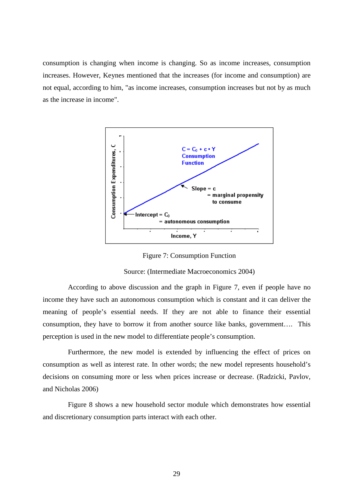consumption is changing when income is changing. So as income increases, consumption increases. However, Keynes mentioned that the increases (for income and consumption) are not equal, according to him, "as income increases, consumption increases but not by as much as the increase in income".



Figure 7: Consumption Function

Source: (Intermediate Macroeconomics 2004)

According to above discussion and the graph in Figure 7, even if people have no income they have such an autonomous consumption which is constant and it can deliver the meaning of people's essential needs. If they are not able to finance their essential consumption, they have to borrow it from another source like banks, government…. This perception is used in the new model to differentiate people's consumption.

Furthermore, the new model is extended by influencing the effect of prices on consumption as well as interest rate. In other words; the new model represents household's decisions on consuming more or less when prices increase or decrease. (Radzicki, Pavlov, and Nicholas 2006)

Figure 8 shows a new household sector module which demonstrates how essential and discretionary consumption parts interact with each other.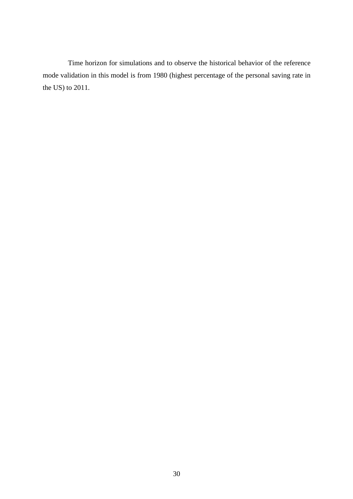Time horizon for simulations and to observe the historical behavior of the reference mode validation in this model is from 1980 (highest percentage of the personal saving rate in the US) to 2011.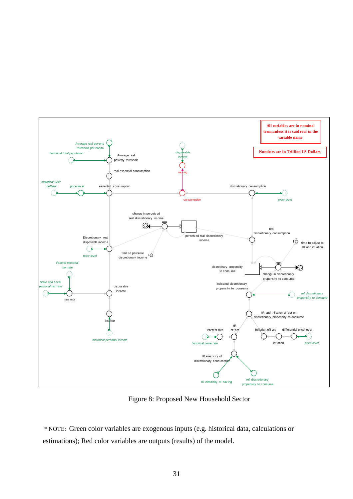

Figure 8: Proposed New Household Sector

 \* NOTE: Green color variables are exogenous inputs (e.g. historical data, calculations or estimations); Red color variables are outputs (results) of the model.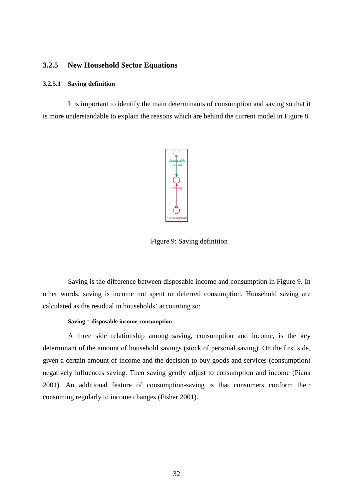### **3.2.5 New Household Sector Equations**

#### **3.2.5.1 Saving definition**

It is important to identify the main determinants of consumption and saving so that it is more understandable to explain the reasons which are behind the current model in Figure 8.



Figure 9: Saving definition

Saving is the difference between disposable income and consumption in Figure 9. In other words, saving is income not spent or deferred consumption. Household saving are calculated as the residual in households' accounting so:

### **Saving = disposable income-consumption**

A three side relationship among saving, consumption and income, is the key determinant of the amount of household savings (stock of personal saving). On the first side, given a certain amount of income and the decision to buy goods and services (consumption) negatively influences saving. Then saving gently adjust to consumption and income (Piana 2001). An additional feature of consumption-saving is that consumers conform their consuming regularly to income changes (Fisher 2001).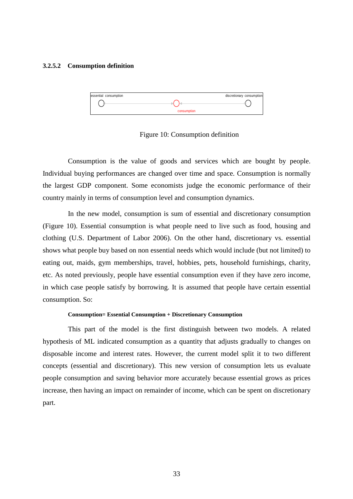#### **3.2.5.2 Consumption definition**



Figure 10: Consumption definition

Consumption is the value of goods and services which are bought by people. Individual buying performances are changed over time and space. Consumption is normally the largest GDP component. Some economists judge the economic performance of their country mainly in terms of consumption level and consumption dynamics.

In the new model, consumption is sum of essential and discretionary consumption (Figure 10). Essential consumption is what people need to live such as food, housing and clothing (U.S. Department of Labor 2006). On the other hand, discretionary vs. essential shows what people buy based on non essential needs which would include (but not limited) to eating out, maids, gym memberships, travel, hobbies, pets, household furnishings, charity, etc. As noted previously, people have essential consumption even if they have zero income, in which case people satisfy by borrowing. It is assumed that people have certain essential consumption. So:

#### **Consumption= Essential Consumption + Discretionary Consumption**

This part of the model is the first distinguish between two models. A related hypothesis of ML indicated consumption as a quantity that adjusts gradually to changes on disposable income and interest rates. However, the current model split it to two different concepts (essential and discretionary). This new version of consumption lets us evaluate people consumption and saving behavior more accurately because essential grows as prices increase, then having an impact on remainder of income, which can be spent on discretionary part.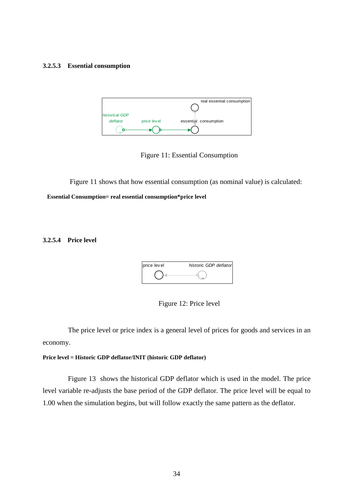#### **3.2.5.3 Essential consumption**



Figure 11: Essential Consumption

 Figure 11 shows that how essential consumption (as nominal value) is calculated:  **Essential Consumption= real essential consumption\*price level** 

**3.2.5.4 Price level** 





The price level or price index is a general level of prices for goods and services in an economy.

#### **Price level = Historic GDP deflator/INIT (historic GDP deflator)**

Figure 13 shows the historical GDP deflator which is used in the model. The price level variable re-adjusts the base period of the GDP deflator. The price level will be equal to 1.00 when the simulation begins, but will follow exactly the same pattern as the deflator.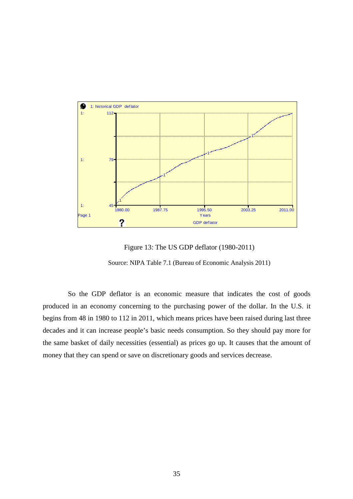

Figure 13: The US GDP deflator (1980-2011)

Source: NIPA Table 7.1 (Bureau of Economic Analysis 2011)

So the GDP deflator is an economic measure that indicates the cost of goods produced in an economy concerning to the purchasing power of the dollar. In the U.S. it begins from 48 in 1980 to 112 in 2011, which means prices have been raised during last three decades and it can increase people's basic needs consumption. So they should pay more for the same basket of daily necessities (essential) as prices go up. It causes that the amount of money that they can spend or save on discretionary goods and services decrease.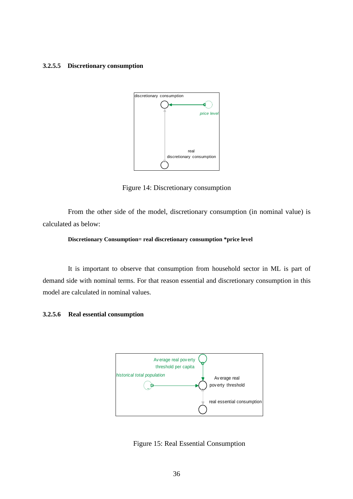#### **3.2.5.5 Discretionary consumption**



Figure 14: Discretionary consumption

From the other side of the model, discretionary consumption (in nominal value) is calculated as below:

#### **Discretionary Consumption= real discretionary consumption \*price level**

It is important to observe that consumption from household sector in ML is part of demand side with nominal terms. For that reason essential and discretionary consumption in this model are calculated in nominal values.

### **3.2.5.6 Real essential consumption**



Figure 15: Real Essential Consumption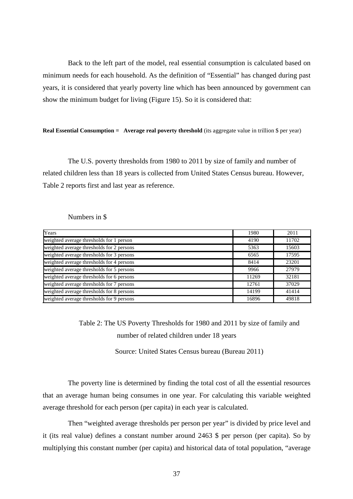Back to the left part of the model, real essential consumption is calculated based on minimum needs for each household. As the definition of "Essential" has changed during past years, it is considered that yearly poverty line which has been announced by government can show the minimum budget for living (Figure 15). So it is considered that:

#### **Real Essential Consumption = Average real poverty threshold** (its aggregate value in trillion \$ per year)

The U.S. poverty thresholds from 1980 to 2011 by size of family and number of related children less than 18 years is collected from United States Census bureau. However, Table 2 reports first and last year as reference.

### Numbers in \$

| Years                                     | 1980  | 2011  |
|-------------------------------------------|-------|-------|
| weighted average thresholds for 1 person  | 4190  | 11702 |
| weighted average thresholds for 2 persons | 5363  | 15603 |
| weighted average thresholds for 3 persons | 6565  | 17595 |
| weighted average thresholds for 4 persons | 8414  | 23201 |
| weighted average thresholds for 5 persons | 9966  | 27979 |
| weighted average thresholds for 6 persons | 11269 | 32181 |
| weighted average thresholds for 7 persons | 12761 | 37029 |
| weighted average thresholds for 8 persons | 14199 | 41414 |
| weighted average thresholds for 9 persons | 16896 | 49818 |

Table 2: The US Poverty Thresholds for 1980 and 2011 by size of family and number of related children under 18 years

Source: United States Census bureau (Bureau 2011)

The poverty line is determined by finding the total cost of all the essential resources that an average human being consumes in one year. For calculating this variable weighted average threshold for each person (per capita) in each year is calculated.

Then "weighted average thresholds per person per year" is divided by price level and it (its real value) defines a constant number around 2463 \$ per person (per capita). So by multiplying this constant number (per capita) and historical data of total population, "average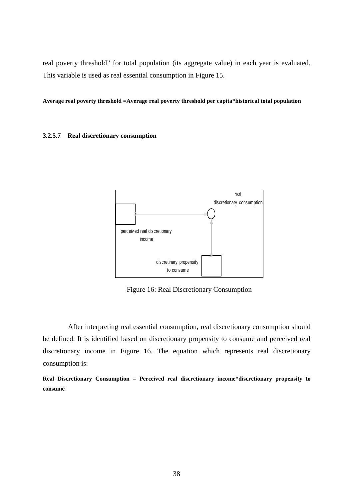real poverty threshold" for total population (its aggregate value) in each year is evaluated. This variable is used as real essential consumption in Figure 15.

**Average real poverty threshold =Average real poverty threshold per capita\*historical total population** 

**3.2.5.7 Real discretionary consumption** 



Figure 16: Real Discretionary Consumption

After interpreting real essential consumption, real discretionary consumption should be defined. It is identified based on discretionary propensity to consume and perceived real discretionary income in Figure 16. The equation which represents real discretionary consumption is:

**Real Discretionary Consumption = Perceived real discretionary income\*discretionary propensity to consume**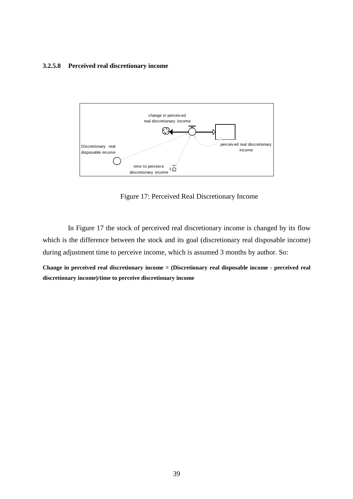### **3.2.5.8 Perceived real discretionary income**



Figure 17: Perceived Real Discretionary Income

In Figure 17 the stock of perceived real discretionary income is changed by its flow which is the difference between the stock and its goal (discretionary real disposable income) during adjustment time to perceive income, which is assumed 3 months by author. So:

**Change in perceived real discretionary income = (Discretionary real disposable income - perceived real discretionary income)/time to perceive discretionary income**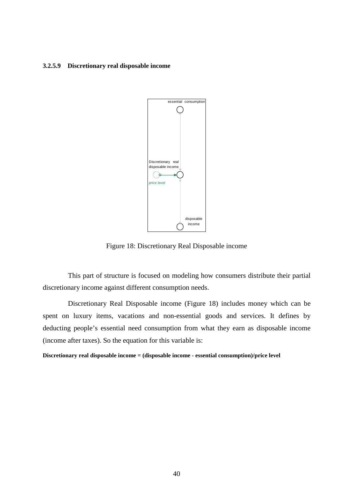### **3.2.5.9 Discretionary real disposable income**



Figure 18: Discretionary Real Disposable income

This part of structure is focused on modeling how consumers distribute their partial discretionary income against different consumption needs.

Discretionary Real Disposable income (Figure 18) includes money which can be spent on luxury items, vacations and non-essential goods and services. It defines by deducting people's essential need consumption from what they earn as disposable income (income after taxes). So the equation for this variable is:

**Discretionary real disposable income = (disposable income - essential consumption)/price level**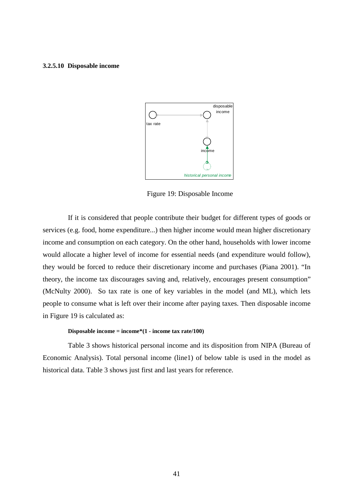### **3.2.5.10 Disposable income**



Figure 19: Disposable Income

If it is considered that people contribute their budget for different types of goods or services (e.g. food, home expenditure...) then higher income would mean higher discretionary income and consumption on each category. On the other hand, households with lower income would allocate a higher level of income for essential needs (and expenditure would follow), they would be forced to reduce their discretionary income and purchases (Piana 2001). "In theory, the income tax discourages saving and, relatively, encourages present consumption" (McNulty 2000). So tax rate is one of key variables in the model (and ML), which lets people to consume what is left over their income after paying taxes. Then disposable income in Figure 19 is calculated as:

#### **Disposable income = income\*(1 - income tax rate/100)**

Table 3 shows historical personal income and its disposition from NIPA (Bureau of Economic Analysis). Total personal income (line1) of below table is used in the model as historical data. Table 3 shows just first and last years for reference.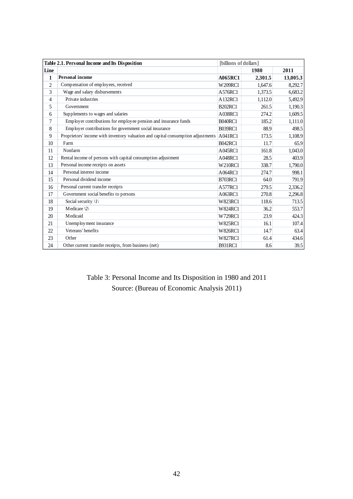|                | Table 2.1. Personal Income and Its Disposition                                   | [billions of dollars] |         |          |
|----------------|----------------------------------------------------------------------------------|-----------------------|---------|----------|
| Line           |                                                                                  |                       | 1980    | 2011     |
| 1              | <b>Personal income</b>                                                           | <b>A065RC1</b>        | 2,301.5 | 13,005.3 |
| $\overline{2}$ | Compensation of employees, received                                              | W209RC1               | 1,647.6 | 8,292.7  |
| 3              | Wage and salary disbursements                                                    | A576RC1               | 1,373.5 | 6,683.2  |
| 4              | Private industries                                                               | A132RC1               | 1,112.0 | 5,492.9  |
| 5              | Government                                                                       | <b>B202RC1</b>        | 261.5   | 1,190.3  |
| 6              | Supplements to wages and salaries                                                | A038RC1               | 274.2   | 1,609.5  |
| 7              | Employer contributions for employee pension and insurance funds                  | <b>B040RC1</b>        | 185.2   | 1,111.0  |
| 8              | Employer contributions for government social insurance                           | <b>B039RC1</b>        | 88.9    | 498.5    |
| 9              | Proprietors' income with inventory valuation and capital consumption adjustments | A041RC1               | 173.5   | 1,108.9  |
| 10             | Farm                                                                             | <b>B042RC1</b>        | 11.7    | 65.9     |
| 11             | Nonfarm                                                                          | A045RC1               | 161.8   | 1,043.0  |
| 12             | Rental income of persons with capital consumption adjustment                     | A048RC1               | 28.5    | 403.9    |
| 13             | Personal income receipts on assets                                               | <b>W210RC1</b>        | 338.7   | 1,790.0  |
| 14             | Personal interest income                                                         | A064RC1               | 274.7   | 998.1    |
| 15             | Personal dividend income                                                         | <b>B703RC1</b>        | 64.0    | 791.9    |
| 16             | Personal current transfer receipts                                               | A577RC1               | 279.5   | 2,336.2  |
| 17             | Government social benefits to persons                                            | A063RC1               | 270.8   | 2,296.8  |
| 18             | Social security $ 1\rangle$                                                      | <b>W823RC1</b>        | 118.6   | 713.5    |
| 19             | Medicare $\langle 2 \rangle$                                                     | <b>W824RC1</b>        | 36.2    | 553.7    |
| 20             | <b>Medicaid</b>                                                                  | W729RC1               | 23.9    | 424.3    |
| 21             | Unemployment insurance                                                           | <b>W825RC1</b>        | 16.1    | 107.4    |
| 22             | Veterans' benefits                                                               | <b>W826RC1</b>        | 14.7    | 63.4     |
| 23             | Other                                                                            | <b>W827RC1</b>        | 61.4    | 434.6    |
| 24             | Other current transfer receipts, from business (net)                             | <b>B931RC1</b>        | 8.6     | 39.5     |

Table 3: Personal Income and Its Disposition in 1980 and 2011 Source: (Bureau of Economic Analysis 2011)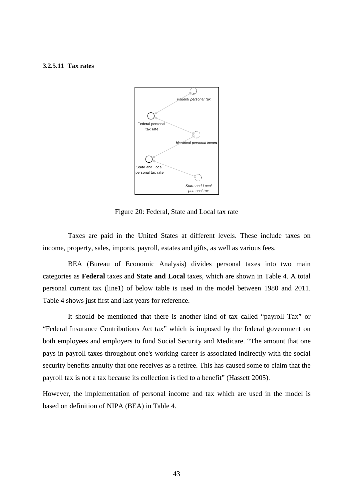### **3.2.5.11 Tax rates**



Figure 20: Federal, State and Local tax rate

Taxes are paid in the United States at different levels. These include taxes on income, property, sales, imports, payroll, estates and gifts, as well as various fees.

BEA (Bureau of Economic Analysis) divides personal taxes into two main categories as **Federal** taxes and **State and Local** taxes, which are shown in Table 4. A total personal current tax (line1) of below table is used in the model between 1980 and 2011. Table 4 shows just first and last years for reference.

It should be mentioned that there is another kind of tax called "payroll Tax" or "Federal Insurance Contributions Act tax" which is imposed by the federal government on both employees and employers to fund Social Security and Medicare. "The amount that one pays in payroll taxes throughout one's working career is associated indirectly with the social security benefits annuity that one receives as a retiree. This has caused some to claim that the payroll tax is not a tax because its collection is tied to a benefit" (Hassett 2005).

However, the implementation of personal income and tax which are used in the model is based on definition of NIPA (BEA) in Table 4.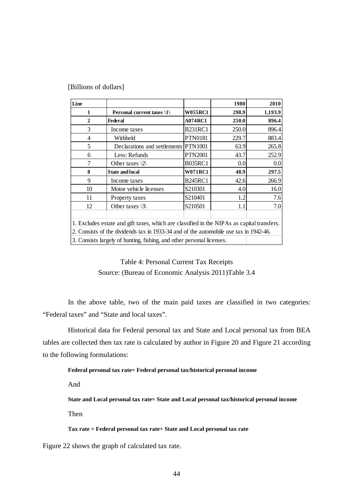| [Billions of dollars] |  |
|-----------------------|--|
|-----------------------|--|

| Line                                                                                       |                                      |                | 1980  | 2010    |
|--------------------------------------------------------------------------------------------|--------------------------------------|----------------|-------|---------|
| 1                                                                                          | Personal current taxes \1\           | <b>W055RC1</b> | 298.9 | 1,193.9 |
| $\mathbf{2}$                                                                               | <b>Federal</b>                       | <b>A074RC1</b> | 250.0 | 896.4   |
| 3                                                                                          | Income taxes                         | <b>B231RC1</b> | 250.0 | 896.4   |
| $\overline{4}$                                                                             | Withheld                             | <b>PTN0181</b> | 229.7 | 883.4   |
| 5                                                                                          | Declarations and settlements PTN1001 |                | 63.9  | 265.8   |
| 6                                                                                          | Less: Refunds                        | <b>PTN2001</b> | 43.7  | 252.9   |
| 7                                                                                          | Other taxes $\langle 2 \rangle$      | <b>B035RC1</b> | 0.0   | 0.0     |
| 8                                                                                          | <b>State and local</b>               | <b>W071RC1</b> | 48.9  | 297.5   |
| 9                                                                                          | Income taxes                         | <b>B245RC1</b> | 42.6  | 266.9   |
| 10                                                                                         | Motor vehicle licenses               | S210301        | 4.0   | 16.0    |
| 11                                                                                         | Property taxes                       | S210401        | 1.2   | 7.6     |
| 12                                                                                         | Other taxes $\langle 3 \rangle$      | S210501        | 1.1   | 7.0     |
|                                                                                            |                                      |                |       |         |
| 1. Excludes estate and gift taxes, which are classified in the NIPAs as capital transfers. |                                      |                |       |         |
| 2. Consists of the dividends tax in 1933-34 and of the automobile use tax in 1942-46.      |                                      |                |       |         |
| 3. Consists largely of hunting, fishing, and other personal licenses.                      |                                      |                |       |         |

## Table 4: Personal Current Tax Receipts Source: (Bureau of Economic Analysis 2011)Table 3.4

In the above table, two of the main paid taxes are classified in two categories: "Federal taxes" and "State and local taxes".

Historical data for Federal personal tax and State and Local personal tax from BEA tables are collected then tax rate is calculated by author in Figure 20 and Figure 21 according to the following formulations:

### **Federal personal tax rate= Federal personal tax/historical personal income**

And

**State and Local personal tax rate= State and Local personal tax/historical personal income** 

Then

**Tax rate = Federal personal tax rate+ State and Local personal tax rate** 

Figure 22 shows the graph of calculated tax rate.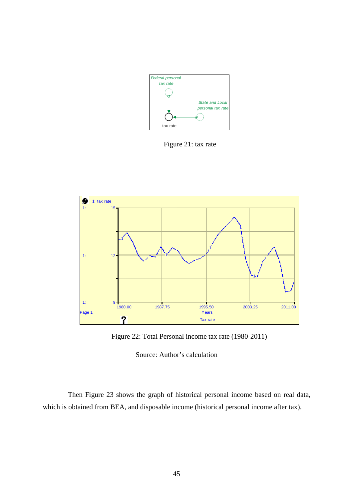

Figure 21: tax rate



Figure 22: Total Personal income tax rate (1980-2011)

Source: Author's calculation

Then Figure 23 shows the graph of historical personal income based on real data, which is obtained from BEA, and disposable income (historical personal income after tax).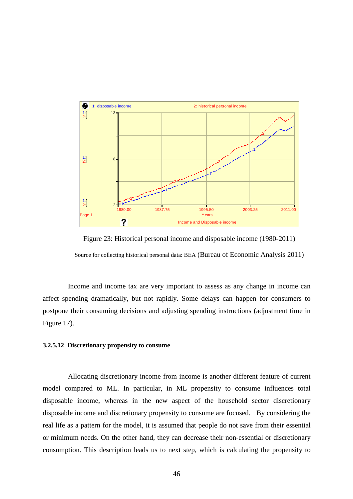

Figure 23: Historical personal income and disposable income (1980-2011) Source for collecting historical personal data: BEA (Bureau of Economic Analysis 2011)

Income and income tax are very important to assess as any change in income can affect spending dramatically, but not rapidly. Some delays can happen for consumers to postpone their consuming decisions and adjusting spending instructions (adjustment time in Figure 17).

### **3.2.5.12 Discretionary propensity to consume**

Allocating discretionary income from income is another different feature of current model compared to ML. In particular, in ML propensity to consume influences total disposable income, whereas in the new aspect of the household sector discretionary disposable income and discretionary propensity to consume are focused. By considering the real life as a pattern for the model, it is assumed that people do not save from their essential or minimum needs. On the other hand, they can decrease their non-essential or discretionary consumption. This description leads us to next step, which is calculating the propensity to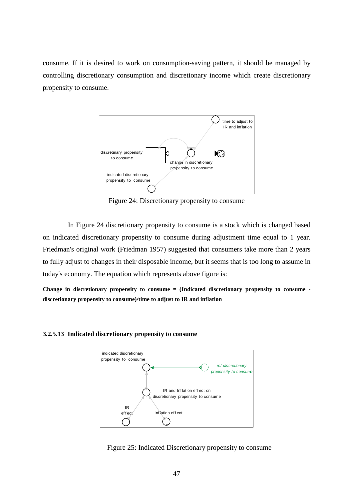consume. If it is desired to work on consumption-saving pattern, it should be managed by controlling discretionary consumption and discretionary income which create discretionary propensity to consume.



Figure 24: Discretionary propensity to consume

In Figure 24 discretionary propensity to consume is a stock which is changed based on indicated discretionary propensity to consume during adjustment time equal to 1 year. Friedman's original work (Friedman 1957) suggested that consumers take more than 2 years to fully adjust to changes in their disposable income, but it seems that is too long to assume in today's economy. The equation which represents above figure is:

**Change in discretionary propensity to consume = (Indicated discretionary propensity to consume discretionary propensity to consume)/time to adjust to IR and inflation** 

### **3.2.5.13 Indicated discretionary propensity to consume**



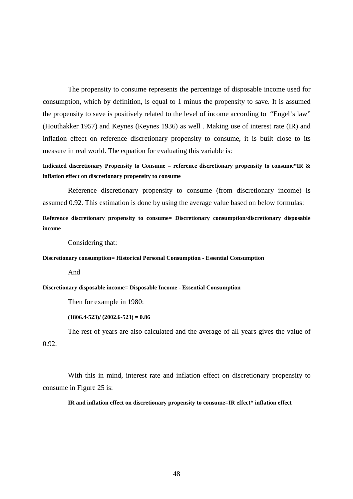The propensity to consume represents the percentage of disposable income used for consumption, which by definition, is equal to 1 minus the propensity to save. It is assumed the propensity to save is positively related to the level of income according to "Engel's law" (Houthakker 1957) and Keynes (Keynes 1936) as well . Making use of interest rate (IR) and inflation effect on reference discretionary propensity to consume, it is built close to its measure in real world. The equation for evaluating this variable is:

**Indicated discretionary Propensity to Consume = reference discretionary propensity to consume\*IR & inflation effect on discretionary propensity to consume** 

Reference discretionary propensity to consume (from discretionary income) is assumed 0.92. This estimation is done by using the average value based on below formulas:

**Reference discretionary propensity to consume= Discretionary consumption/discretionary disposable income**

Considering that:

#### **Discretionary consumption= Historical Personal Consumption - Essential Consumption**

And

#### **Discretionary disposable income= Disposable Income - Essential Consumption**

Then for example in 1980:

**(1806.4-523)/ (2002.6-523) = 0.86** 

The rest of years are also calculated and the average of all years gives the value of 0.92.

With this in mind, interest rate and inflation effect on discretionary propensity to consume in Figure 25 is:

#### **IR and inflation effect on discretionary propensity to consume=IR effect\* inflation effect**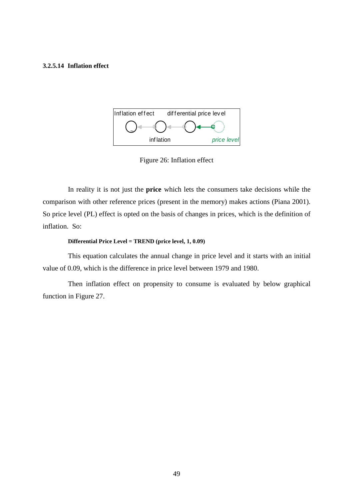### **3.2.5.14 Inflation effect**



Figure 26: Inflation effect

In reality it is not just the **price** which lets the consumers take decisions while the comparison with other reference prices (present in the memory) makes actions (Piana 2001). So price level (PL) effect is opted on the basis of changes in prices, which is the definition of inflation. So:

#### **Differential Price Level = TREND (price level, 1, 0.09)**

This equation calculates the annual change in price level and it starts with an initial value of 0.09, which is the difference in price level between 1979 and 1980.

Then inflation effect on propensity to consume is evaluated by below graphical function in Figure 27.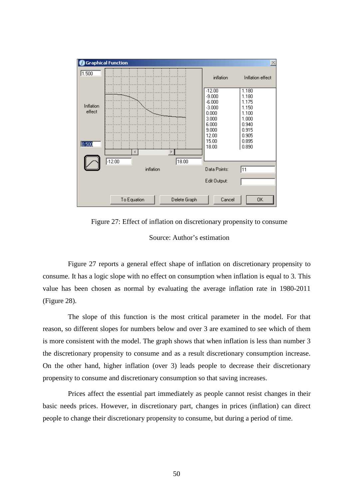

Figure 27: Effect of inflation on discretionary propensity to consume

Source: Author's estimation

Figure 27 reports a general effect shape of inflation on discretionary propensity to consume. It has a logic slope with no effect on consumption when inflation is equal to 3. This value has been chosen as normal by evaluating the average inflation rate in 1980-2011 (Figure 28).

The slope of this function is the most critical parameter in the model. For that reason, so different slopes for numbers below and over 3 are examined to see which of them is more consistent with the model. The graph shows that when inflation is less than number 3 the discretionary propensity to consume and as a result discretionary consumption increase. On the other hand, higher inflation (over 3) leads people to decrease their discretionary propensity to consume and discretionary consumption so that saving increases.

Prices affect the essential part immediately as people cannot resist changes in their basic needs prices. However, in discretionary part, changes in prices (inflation) can direct people to change their discretionary propensity to consume, but during a period of time.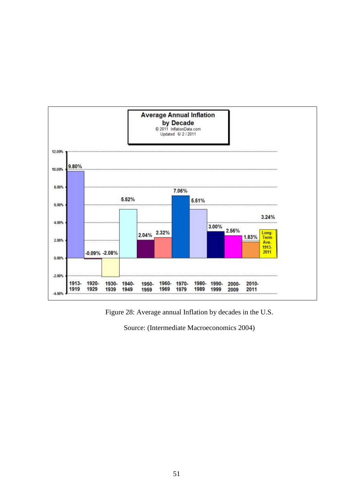

Figure 28: Average annual Inflation by decades in the U.S.

Source: (Intermediate Macroeconomics 2004)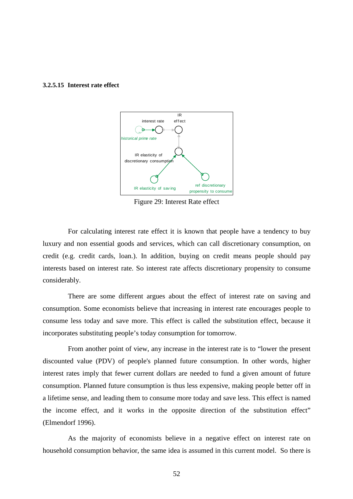#### **3.2.5.15 Interest rate effect**



Figure 29: Interest Rate effect

For calculating interest rate effect it is known that people have a tendency to buy luxury and non essential goods and services, which can call discretionary consumption, on credit (e.g. credit cards, loan.). In addition, buying on credit means people should pay interests based on interest rate. So interest rate affects discretionary propensity to consume considerably.

There are some different argues about the effect of interest rate on saving and consumption. Some economists believe that increasing in interest rate encourages people to consume less today and save more. This effect is called the substitution effect, because it incorporates substituting people's today consumption for tomorrow.

From another point of view, any increase in the interest rate is to "lower the present discounted value (PDV) of people's planned future consumption. In other words, higher interest rates imply that fewer current dollars are needed to fund a given amount of future consumption. Planned future consumption is thus less expensive, making people better off in a lifetime sense, and leading them to consume more today and save less. This effect is named the income effect, and it works in the opposite direction of the substitution effect" (Elmendorf 1996).

As the majority of economists believe in a negative effect on interest rate on household consumption behavior, the same idea is assumed in this current model. So there is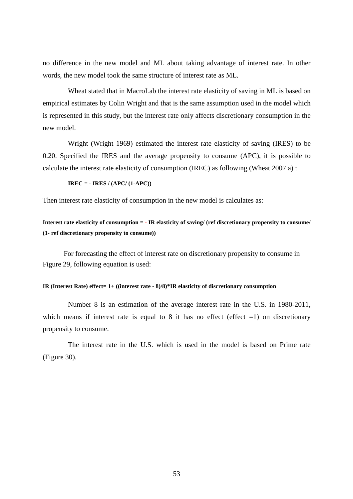no difference in the new model and ML about taking advantage of interest rate. In other words, the new model took the same structure of interest rate as ML.

Wheat stated that in MacroLab the interest rate elasticity of saving in ML is based on empirical estimates by Colin Wright and that is the same assumption used in the model which is represented in this study, but the interest rate only affects discretionary consumption in the new model.

Wright (Wright 1969) estimated the interest rate elasticity of saving (IRES) to be 0.20. Specified the IRES and the average propensity to consume (APC), it is possible to calculate the interest rate elasticity of consumption (IREC) as following (Wheat 2007 a) :

$$
IREC = - IRES / (APC / (1-APC))
$$

Then interest rate elasticity of consumption in the new model is calculates as:

**Interest rate elasticity of consumption = - IR elasticity of saving/ (ref discretionary propensity to consume/ (1- ref discretionary propensity to consume))** 

 For forecasting the effect of interest rate on discretionary propensity to consume in Figure 29, following equation is used:

#### **IR (Interest Rate) effect= 1+ ((interest rate - 8)/8)\*IR elasticity of discretionary consumption**

Number 8 is an estimation of the average interest rate in the U.S. in 1980-2011, which means if interest rate is equal to 8 it has no effect (effect  $=1$ ) on discretionary propensity to consume.

The interest rate in the U.S. which is used in the model is based on Prime rate (Figure 30).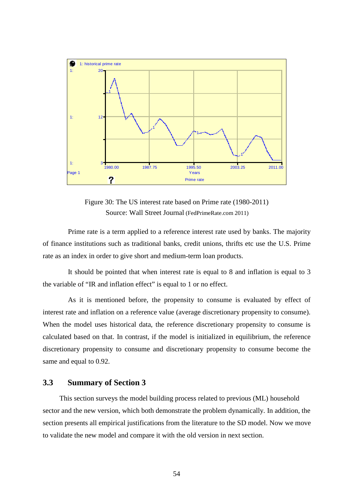

Figure 30: The US interest rate based on Prime rate (1980-2011) Source: Wall Street Journal (FedPrimeRate.com 2011)

Prime rate is a term applied to a reference interest rate used by banks. The majority of finance institutions such as traditional banks, credit unions, thrifts etc use the U.S. Prime rate as an index in order to give short and medium-term loan products.

It should be pointed that when interest rate is equal to 8 and inflation is equal to 3 the variable of "IR and inflation effect" is equal to 1 or no effect.

As it is mentioned before, the propensity to consume is evaluated by effect of interest rate and inflation on a reference value (average discretionary propensity to consume). When the model uses historical data, the reference discretionary propensity to consume is calculated based on that. In contrast, if the model is initialized in equilibrium, the reference discretionary propensity to consume and discretionary propensity to consume become the same and equal to 0.92.

## **3.3 Summary of Section 3**

This section surveys the model building process related to previous (ML) household sector and the new version, which both demonstrate the problem dynamically. In addition, the section presents all empirical justifications from the literature to the SD model. Now we move to validate the new model and compare it with the old version in next section.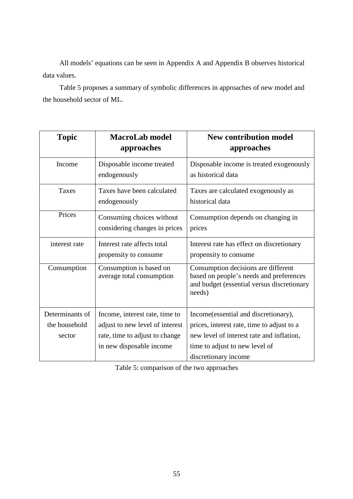All models' equations can be seen in Appendix A and Appendix B observes historical data values.

Table 5 proposes a summary of symbolic differences in approaches of new model and the household sector of ML.

| <b>Topic</b>                     | <b>MacroLab model</b><br>approaches                               | <b>New contribution model</b><br>approaches                                                                                            |
|----------------------------------|-------------------------------------------------------------------|----------------------------------------------------------------------------------------------------------------------------------------|
| Income                           | Disposable income treated<br>endogenously                         | Disposable income is treated exogenously<br>as historical data                                                                         |
| Taxes                            | Taxes have been calculated<br>endogenously                        | Taxes are calculated exogenously as<br>historical data                                                                                 |
| Prices                           | Consuming choices without<br>considering changes in prices        | Consumption depends on changing in<br>prices                                                                                           |
| interest rate                    | Interest rate affects total<br>propensity to consume              | Interest rate has effect on discretionary<br>propensity to consume                                                                     |
| Consumption                      | Consumption is based on<br>average total consumption              | Consumption decisions are different<br>based on people's needs and preferences<br>and budget (essential versus discretionary<br>needs) |
| Determinants of<br>the household | Income, interest rate, time to<br>adjust to new level of interest | Income(essential and discretionary),<br>prices, interest rate, time to adjust to a                                                     |
| sector                           | rate, time to adjust to change<br>in new disposable income        | new level of interest rate and inflation,<br>time to adjust to new level of<br>discretionary income                                    |

Table 5: comparison of the two approaches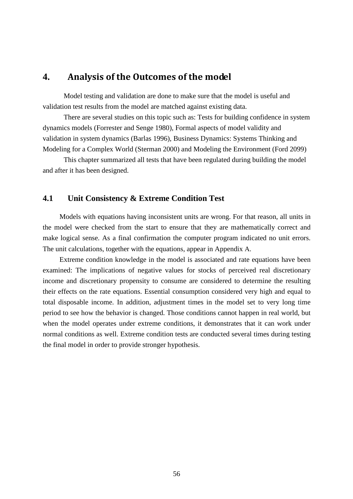## **4.** Analysis of the Outcomes of the model

Model testing and validation are done to make sure that the model is useful and validation test results from the model are matched against existing data.

There are several studies on this topic such as: Tests for building confidence in system dynamics models (Forrester and Senge 1980), Formal aspects of model validity and validation in system dynamics (Barlas 1996), Business Dynamics: Systems Thinking and Modeling for a Complex World (Sterman 2000) and Modeling the Environment (Ford 2099)

This chapter summarized all tests that have been regulated during building the model and after it has been designed.

### **4.1 Unit Consistency & Extreme Condition Test**

Models with equations having inconsistent units are wrong. For that reason, all units in the model were checked from the start to ensure that they are mathematically correct and make logical sense. As a final confirmation the computer program indicated no unit errors. The unit calculations, together with the equations, appear in Appendix A.

Extreme condition knowledge in the model is associated and rate equations have been examined: The implications of negative values for stocks of perceived real discretionary income and discretionary propensity to consume are considered to determine the resulting their effects on the rate equations. Essential consumption considered very high and equal to total disposable income. In addition, adjustment times in the model set to very long time period to see how the behavior is changed. Those conditions cannot happen in real world, but when the model operates under extreme conditions, it demonstrates that it can work under normal conditions as well. Extreme condition tests are conducted several times during testing the final model in order to provide stronger hypothesis.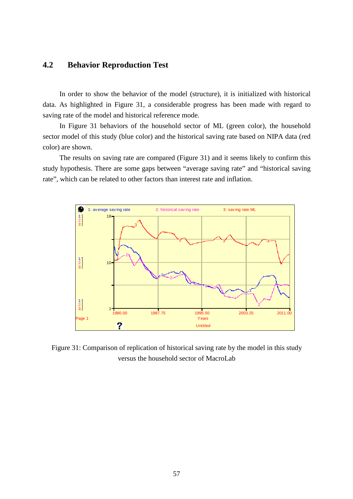## **4.2 Behavior Reproduction Test**

In order to show the behavior of the model (structure), it is initialized with historical data. As highlighted in Figure 31, a considerable progress has been made with regard to saving rate of the model and historical reference mode.

In Figure 31 behaviors of the household sector of ML (green color), the household sector model of this study (blue color) and the historical saving rate based on NIPA data (red color) are shown.

The results on saving rate are compared (Figure 31) and it seems likely to confirm this study hypothesis. There are some gaps between "average saving rate" and "historical saving rate", which can be related to other factors than interest rate and inflation.



Figure 31: Comparison of replication of historical saving rate by the model in this study versus the household sector of MacroLab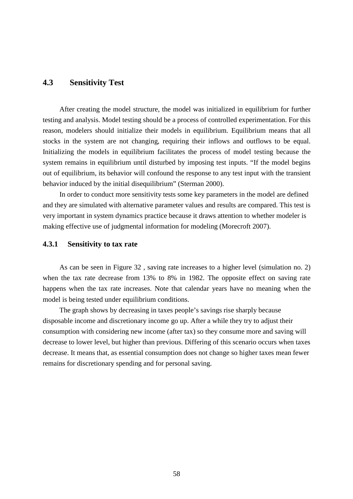## **4.3 Sensitivity Test**

After creating the model structure, the model was initialized in equilibrium for further testing and analysis. Model testing should be a process of controlled experimentation. For this reason, modelers should initialize their models in equilibrium. Equilibrium means that all stocks in the system are not changing, requiring their inflows and outflows to be equal. Initializing the models in equilibrium facilitates the process of model testing because the system remains in equilibrium until disturbed by imposing test inputs. "If the model begins out of equilibrium, its behavior will confound the response to any test input with the transient behavior induced by the initial disequilibrium" (Sterman 2000).

In order to conduct more sensitivity tests some key parameters in the model are defined and they are simulated with alternative parameter values and results are compared. This test is very important in system dynamics practice because it draws attention to whether modeler is making effective use of judgmental information for modeling (Morecroft 2007).

### **4.3.1 Sensitivity to tax rate**

As can be seen in Figure 32 , saving rate increases to a higher level (simulation no. 2) when the tax rate decrease from 13% to 8% in 1982. The opposite effect on saving rate happens when the tax rate increases. Note that calendar years have no meaning when the model is being tested under equilibrium conditions.

The graph shows by decreasing in taxes people's savings rise sharply because disposable income and discretionary income go up. After a while they try to adjust their consumption with considering new income (after tax) so they consume more and saving will decrease to lower level, but higher than previous. Differing of this scenario occurs when taxes decrease. It means that, as essential consumption does not change so higher taxes mean fewer remains for discretionary spending and for personal saving.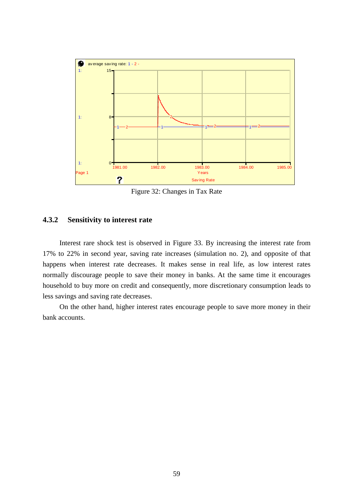

Figure 32: Changes in Tax Rate

## **4.3.2 Sensitivity to interest rate**

Interest rare shock test is observed in Figure 33. By increasing the interest rate from 17% to 22% in second year, saving rate increases (simulation no. 2), and opposite of that happens when interest rate decreases. It makes sense in real life, as low interest rates normally discourage people to save their money in banks. At the same time it encourages household to buy more on credit and consequently, more discretionary consumption leads to less savings and saving rate decreases.

On the other hand, higher interest rates encourage people to save more money in their bank accounts.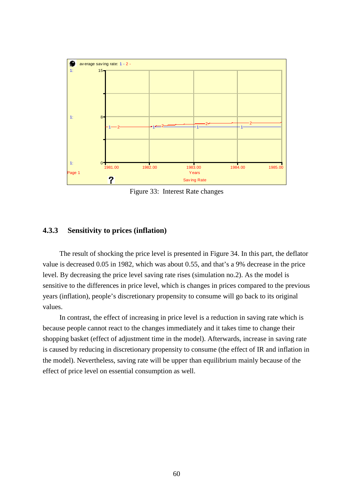

Figure 33: Interest Rate changes

## **4.3.3 Sensitivity to prices (inflation)**

The result of shocking the price level is presented in Figure 34. In this part, the deflator value is decreased 0.05 in 1982, which was about 0.55, and that's a 9% decrease in the price level. By decreasing the price level saving rate rises (simulation no.2). As the model is sensitive to the differences in price level, which is changes in prices compared to the previous years (inflation), people's discretionary propensity to consume will go back to its original values.

In contrast, the effect of increasing in price level is a reduction in saving rate which is because people cannot react to the changes immediately and it takes time to change their shopping basket (effect of adjustment time in the model). Afterwards, increase in saving rate is caused by reducing in discretionary propensity to consume (the effect of IR and inflation in the model). Nevertheless, saving rate will be upper than equilibrium mainly because of the effect of price level on essential consumption as well.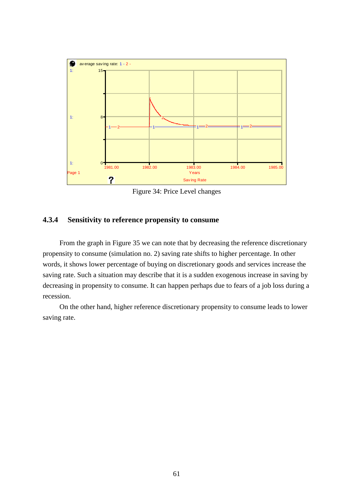

Figure 34: Price Level changes

## **4.3.4 Sensitivity to reference propensity to consume**

From the graph in Figure 35 we can note that by decreasing the reference discretionary propensity to consume (simulation no. 2) saving rate shifts to higher percentage. In other words, it shows lower percentage of buying on discretionary goods and services increase the saving rate. Such a situation may describe that it is a sudden exogenous increase in saving by decreasing in propensity to consume. It can happen perhaps due to fears of a job loss during a recession.

On the other hand, higher reference discretionary propensity to consume leads to lower saving rate.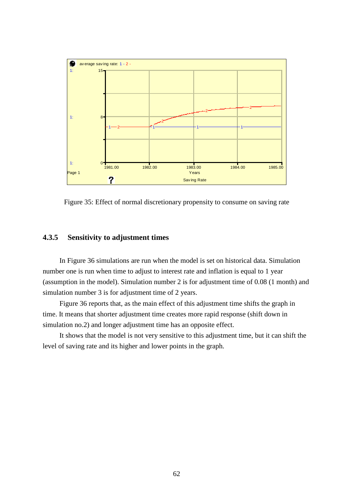

Figure 35: Effect of normal discretionary propensity to consume on saving rate

### **4.3.5 Sensitivity to adjustment times**

In Figure 36 simulations are run when the model is set on historical data. Simulation number one is run when time to adjust to interest rate and inflation is equal to 1 year (assumption in the model). Simulation number 2 is for adjustment time of 0.08 (1 month) and simulation number 3 is for adjustment time of 2 years.

Figure 36 reports that, as the main effect of this adjustment time shifts the graph in time. It means that shorter adjustment time creates more rapid response (shift down in simulation no.2) and longer adjustment time has an opposite effect.

It shows that the model is not very sensitive to this adjustment time, but it can shift the level of saving rate and its higher and lower points in the graph.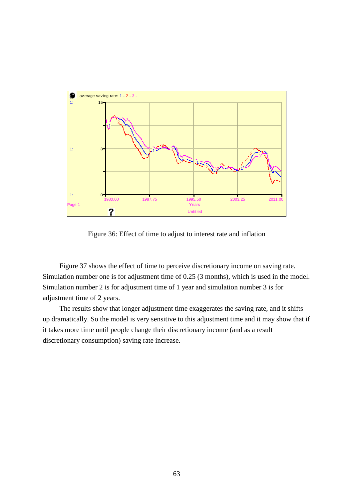

Figure 36: Effect of time to adjust to interest rate and inflation

Figure 37 shows the effect of time to perceive discretionary income on saving rate. Simulation number one is for adjustment time of 0.25 (3 months), which is used in the model. Simulation number 2 is for adjustment time of 1 year and simulation number 3 is for adjustment time of 2 years.

The results show that longer adjustment time exaggerates the saving rate, and it shifts up dramatically. So the model is very sensitive to this adjustment time and it may show that if it takes more time until people change their discretionary income (and as a result discretionary consumption) saving rate increase.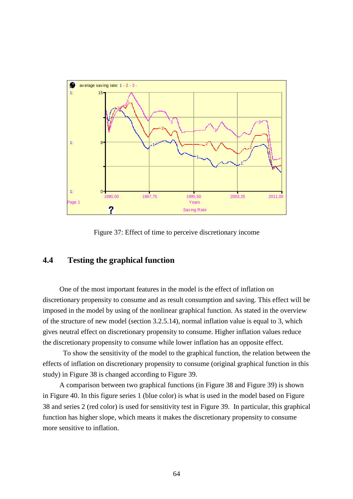

Figure 37: Effect of time to perceive discretionary income

## **4.4 Testing the graphical function**

One of the most important features in the model is the effect of inflation on discretionary propensity to consume and as result consumption and saving. This effect will be imposed in the model by using of the nonlinear graphical function. As stated in the overview of the structure of new model (section 3.2.5.14), normal inflation value is equal to 3, which gives neutral effect on discretionary propensity to consume. Higher inflation values reduce the discretionary propensity to consume while lower inflation has an opposite effect.

 To show the sensitivity of the model to the graphical function, the relation between the effects of inflation on discretionary propensity to consume (original graphical function in this study) in Figure 38 is changed according to Figure 39.

A comparison between two graphical functions (in Figure 38 and Figure 39) is shown in Figure 40. In this figure series 1 (blue color) is what is used in the model based on Figure 38 and series 2 (red color) is used for sensitivity test in Figure 39. In particular, this graphical function has higher slope, which means it makes the discretionary propensity to consume more sensitive to inflation.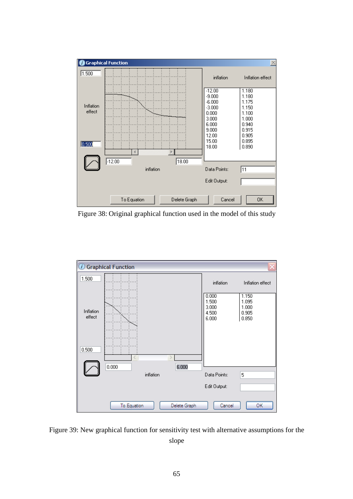

Figure 38: Original graphical function used in the model of this study



Figure 39: New graphical function for sensitivity test with alternative assumptions for the slope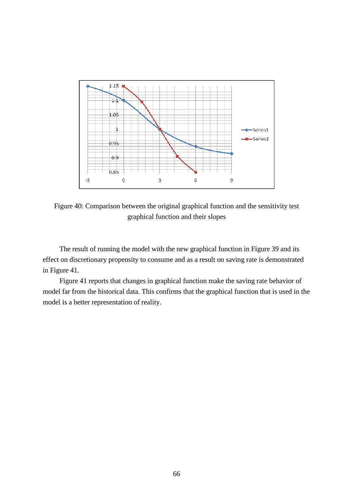

Figure 40: Comparison between the original graphical function and the sensitivity test graphical function and their slopes

The result of running the model with the new graphical function in Figure 39 and its effect on discretionary propensity to consume and as a result on saving rate is demonstrated in Figure 41.

Figure 41 reports that changes in graphical function make the saving rate behavior of model far from the historical data. This confirms that the graphical function that is used in the model is a better representation of reality.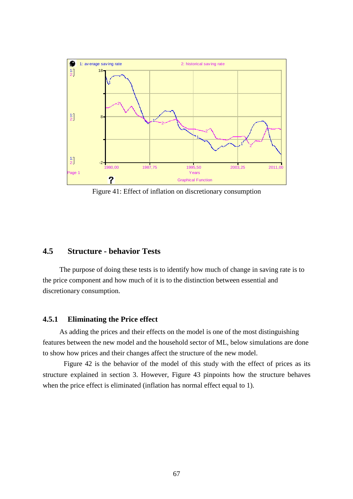

Figure 41: Effect of inflation on discretionary consumption

## **4.5 Structure - behavior Tests**

The purpose of doing these tests is to identify how much of change in saving rate is to the price component and how much of it is to the distinction between essential and discretionary consumption.

### **4.5.1 Eliminating the Price effect**

As adding the prices and their effects on the model is one of the most distinguishing features between the new model and the household sector of ML, below simulations are done to show how prices and their changes affect the structure of the new model.

 Figure 42 is the behavior of the model of this study with the effect of prices as its structure explained in section 3. However, Figure 43 pinpoints how the structure behaves when the price effect is eliminated (inflation has normal effect equal to 1).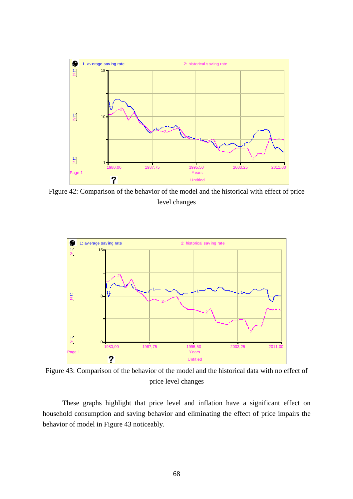

Figure 42: Comparison of the behavior of the model and the historical with effect of price level changes



Figure 43: Comparison of the behavior of the model and the historical data with no effect of price level changes

 These graphs highlight that price level and inflation have a significant effect on household consumption and saving behavior and eliminating the effect of price impairs the behavior of model in Figure 43 noticeably.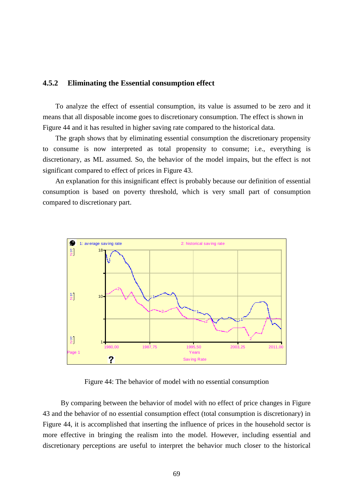### **4.5.2 Eliminating the Essential consumption effect**

To analyze the effect of essential consumption, its value is assumed to be zero and it means that all disposable income goes to discretionary consumption. The effect is shown in Figure 44 and it has resulted in higher saving rate compared to the historical data.

The graph shows that by eliminating essential consumption the discretionary propensity to consume is now interpreted as total propensity to consume; i.e., everything is discretionary, as ML assumed. So, the behavior of the model impairs, but the effect is not significant compared to effect of prices in Figure 43.

An explanation for this insignificant effect is probably because our definition of essential consumption is based on poverty threshold, which is very small part of consumption compared to discretionary part.



Figure 44: The behavior of model with no essential consumption

 By comparing between the behavior of model with no effect of price changes in Figure 43 and the behavior of no essential consumption effect (total consumption is discretionary) in Figure 44, it is accomplished that inserting the influence of prices in the household sector is more effective in bringing the realism into the model. However, including essential and discretionary perceptions are useful to interpret the behavior much closer to the historical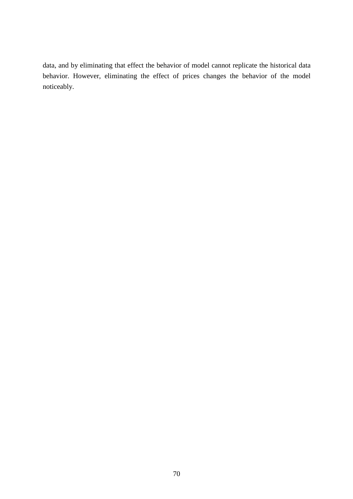data, and by eliminating that effect the behavior of model cannot replicate the historical data behavior. However, eliminating the effect of prices changes the behavior of the model noticeably.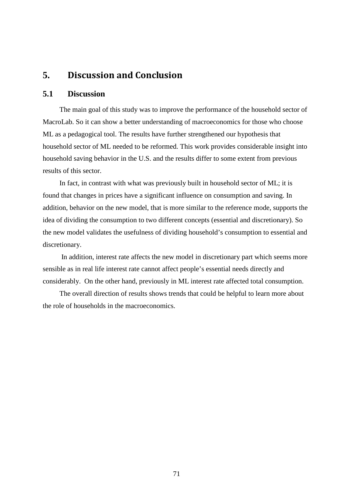# **5.** Discussion and Conclusion

## **5.1 Discussion**

The main goal of this study was to improve the performance of the household sector of MacroLab. So it can show a better understanding of macroeconomics for those who choose ML as a pedagogical tool. The results have further strengthened our hypothesis that household sector of ML needed to be reformed. This work provides considerable insight into household saving behavior in the U.S. and the results differ to some extent from previous results of this sector.

In fact, in contrast with what was previously built in household sector of ML; it is found that changes in prices have a significant influence on consumption and saving. In addition, behavior on the new model, that is more similar to the reference mode, supports the idea of dividing the consumption to two different concepts (essential and discretionary). So the new model validates the usefulness of dividing household's consumption to essential and discretionary.

 In addition, interest rate affects the new model in discretionary part which seems more sensible as in real life interest rate cannot affect people's essential needs directly and considerably. On the other hand, previously in ML interest rate affected total consumption.

The overall direction of results shows trends that could be helpful to learn more about the role of households in the macroeconomics.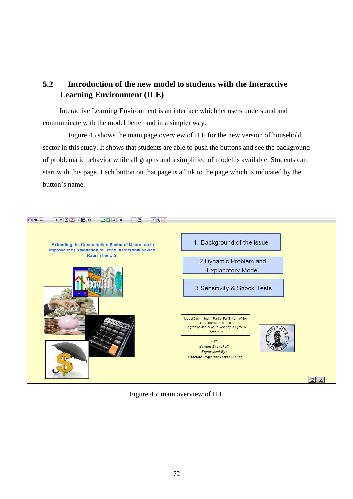# **5.2 Introduction of the new model to students with the Interactive Learning Environment (ILE)**

Interactive Learning Environment is an interface which let users understand and communicate with the model better and in a simpler way.

 Figure 45 shows the main page overview of ILE for the new version of household sector in this study. It shows that students are able to push the buttons and see the background of problematic behavior while all graphs and a simplified of model is available. Students can start with this page. Each button on that page is a link to the page which is indicated by the button's name.



Figure 45: main overview of ILE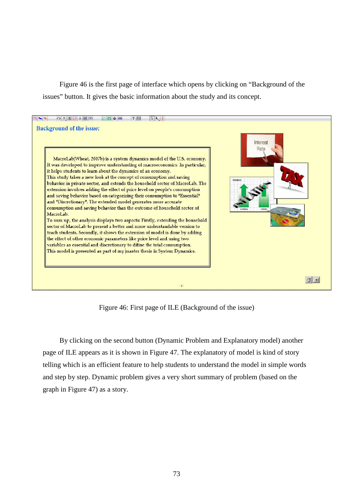Figure 46 is the first page of interface which opens by clicking on "Background of the issues" button. It gives the basic information about the study and its concept.



Figure 46: First page of ILE (Background of the issue)

By clicking on the second button (Dynamic Problem and Explanatory model) another page of ILE appears as it is shown in Figure 47. The explanatory of model is kind of story telling which is an efficient feature to help students to understand the model in simple words and step by step. Dynamic problem gives a very short summary of problem (based on the graph in Figure 47) as a story.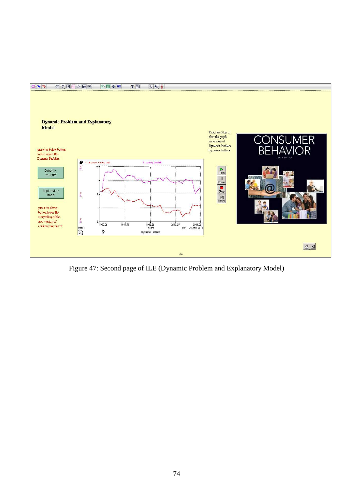

Figure 47: Second page of ILE (Dynamic Problem and Explanatory Model)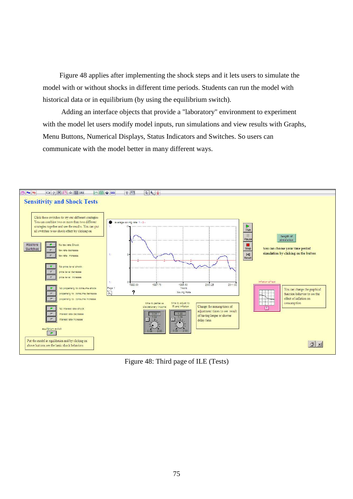Figure 48 applies after implementing the shock steps and it lets users to simulate the model with or without shocks in different time periods. Students can run the model with historical data or in equilibrium (by using the equilibrium switch).

 Adding an interface objects that provide a "laboratory" environment to experiment with the model let users modify model inputs, run simulations and view results with Graphs, Menu Buttons, Numerical Displays, Status Indicators and Switches. So users can communicate with the model better in many different ways.



Figure 48: Third page of ILE (Tests)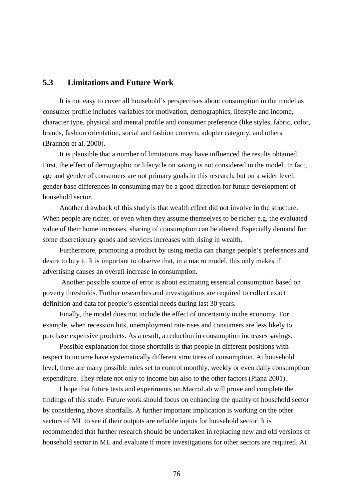# **5.3 Limitations and Future Work**

It is not easy to cover all household's perspectives about consumption in the model as consumer profile includes variables for motivation, demographics, lifestyle and income, character type, physical and mental profile and consumer preference (like styles, fabric, color, brands, fashion orientation, social and fashion concern, adopter category, and others (Brannon et al. 2000).

It is plausible that a number of limitations may have influenced the results obtained. First, the effect of demographic or lifecycle on saving is not considered in the model. In fact, age and gender of consumers are not primary goals in this research, but on a wider level, gender base differences in consuming may be a good direction for future development of household sector.

Another drawback of this study is that wealth effect did not involve in the structure. When people are richer, or even when they assume themselves to be richer e.g. the evaluated value of their home increases, sharing of consumption can be altered. Especially demand for some discretionary goods and services increases with rising in wealth.

Furthermore, promoting a product by using media can change people's preferences and desire to buy it. It is important to observe that, in a macro model, this only makes if advertising causes an overall increase in consumption.

 Another possible source of error is about estimating essential consumption based on poverty thresholds. Further researches and investigations are required to collect exact definition and data for people's essential needs during last 30 years.

Finally, the model does not include the effect of uncertainty in the economy. For example, when recession hits, unemployment rate rises and consumers are less likely to purchase expensive products. As a result, a reduction in consumption increases savings.

Possible explanation for those shortfalls is that people in different positions with respect to income have systematically different structures of consumption. At household level, there are many possible rules set to control monthly, weekly or even daily consumption expenditure. They relate not only to income but also to the other factors (Piana 2001).

I hope that future tests and experiments on MacroLab will prove and complete the findings of this study. Future work should focus on enhancing the quality of household sector by considering above shortfalls. A further important implication is working on the other sectors of ML to see if their outputs are reliable inputs for household sector. It is recommended that further research should be undertaken in replacing new and old versions of household sector in ML and evaluate if more investigations for other sectors are required. At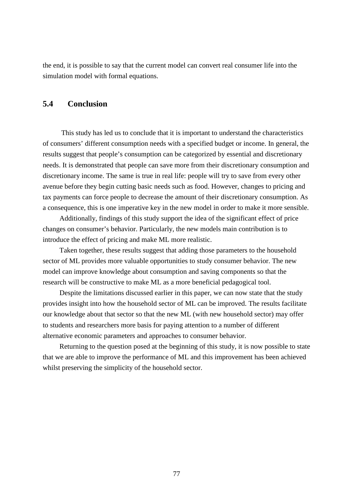the end, it is possible to say that the current model can convert real consumer life into the simulation model with formal equations.

# **5.4 Conclusion**

 This study has led us to conclude that it is important to understand the characteristics of consumers' different consumption needs with a specified budget or income. In general, the results suggest that people's consumption can be categorized by essential and discretionary needs. It is demonstrated that people can save more from their discretionary consumption and discretionary income. The same is true in real life: people will try to save from every other avenue before they begin cutting basic needs such as food. However, changes to pricing and tax payments can force people to decrease the amount of their discretionary consumption. As a consequence, this is one imperative key in the new model in order to make it more sensible.

Additionally, findings of this study support the idea of the significant effect of price changes on consumer's behavior. Particularly, the new models main contribution is to introduce the effect of pricing and make ML more realistic.

Taken together, these results suggest that adding those parameters to the household sector of ML provides more valuable opportunities to study consumer behavior. The new model can improve knowledge about consumption and saving components so that the research will be constructive to make ML as a more beneficial pedagogical tool.

Despite the limitations discussed earlier in this paper, we can now state that the study provides insight into how the household sector of ML can be improved. The results facilitate our knowledge about that sector so that the new ML (with new household sector) may offer to students and researchers more basis for paying attention to a number of different alternative economic parameters and approaches to consumer behavior.

Returning to the question posed at the beginning of this study, it is now possible to state that we are able to improve the performance of ML and this improvement has been achieved whilst preserving the simplicity of the household sector.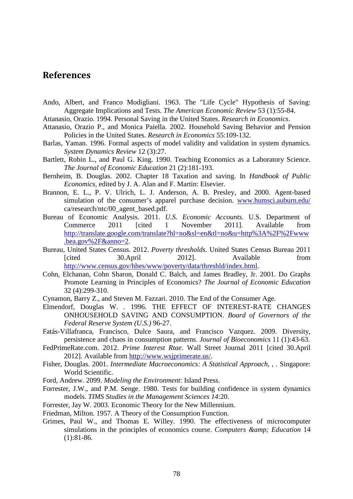# References

- Ando, Albert, and Franco Modigliani. 1963. The "Life Cycle" Hypothesis of Saving: Aggregate Implications and Tests. *The American Economic Review* 53 (1):55-84.
- Attanasio, Orazio. 1994. Personal Saving in the United States. *Research in Economics*.
- Attanasio, Orazio P., and Monica Paiella. 2002. Household Saving Behavior and Pension Policies in the United States. *Research in Economics* 55:109-132.
- Barlas, Yaman. 1996. Formal aspects of model validity and validation in system dynamics. *System Dynamics Review* 12 (3):27.
- Bartlett, Robin L., and Paul G. King. 1990. Teaching Economics as a Laboratory Science. *The Journal of Economic Education* 21 (2):181-193.
- Bernheim, B. Douglas. 2002. Chapter 18 Taxation and saving. In *Handbook of Public Economics*, edited by J. A. Alan and F. Martin: Elsevier.
- Brannon, E. L., P. V. Ulrich, L. J. Anderson, A. B. Presley, and 2000. Agent-based simulation of the consumer's apparel purchase decision. www.humsci.auburn.edu/ ca/research/ntc/00\_agent\_based.pdf.
- Bureau of Economic Analysis. 2011. *U.S. Economic Accounts*. U.S. Department of Commerce 2011 [cited 1 November 2011]. Available from http://translate.google.com/translate?hl=no&sl=en&tl=no&u=http%3A%2F%2Fwww .bea.gov%2F&anno=2.
- Bureau, United States Census. 2012. *Poverty thresholds*. United States Census Bureau 2011 [cited 30.April 2012]. Available from http://www.census.gov/hhes/www/poverty/data/threshld/index.html.
- Cohn, Elchanan, Cohn Sharon, Donald C. Balch, and James Bradley, Jr. 2001. Do Graphs Promote Learning in Principles of Economics? *The Journal of Economic Education* 32 (4):299-310.
- Cynamon, Barry Z., and Steven M. Fazzari. 2010. The End of the Consumer Age.
- Elmendorf, Douglas W. . 1996. THE EFFECT OF INTEREST-RATE CHANGES ONHOUSEHOLD SAVING AND CONSUMPTION. *Board of Governors of the Federal Reserve System (U.S.)* 96-27.
- Fatás-Villafranca, Francisco, Dulce Saura, and Francisco Vazquez. 2009. Diversity, persistence and chaos in consumption patterns. *Journal of Bioeconomics* 11 (1):43-63.
- FedPrimeRate.com. 2012. *Prime Interest Rtae*. Wall Street Journal 2011 [cited 30.April 2012]. Available from http://www.wsjprimerate.us/.
- Fisher, Douglas. 2001. *Intermediate Macroeconomics: A Statistical Approach,* , . Singapore: World Scientific.
- Ford, Andrew. 2099. *Modeling the Environment*: Island Press.
- Forrester, J.W., and P.M. Senge. 1980. Tests for building confidence in system dynamics models. *TIMS Studies in the Management Sciences 14*:20.
- Forrester, Jay W. 2003. Economic Theory for the New Millennium.
- Friedman, Milton. 1957. A Theory of the Consumption Function.
- Grimes, Paul W., and Thomas E. Willey. 1990. The effectiveness of microcomputer simulations in the principles of economics course. *Computers & amp*; *Education* 14 (1):81-86.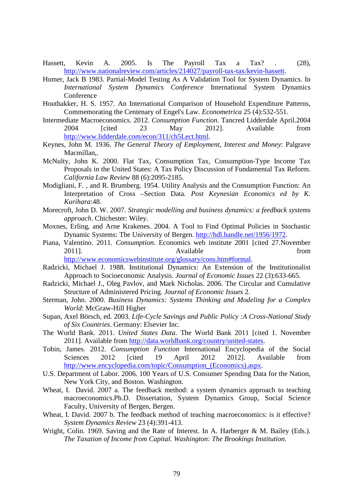- Hassett, Kevin A. 2005. Is The Payroll Tax a Tax? . (28), http://www.nationalreview.com/articles/214027/payroll-tax-tax/kevin-hassett.
- Homer, Jack B 1983. Partial-Model Testing As A Validation Tool for System Dynamics. In *International System Dynamics Conference* International System Dynamics **Conference**
- Houthakker, H. S. 1957. An International Comparison of Household Expenditure Patterns, Commemorating the Centenary of Engel's Law. *Econometrica* 25 (4):532-551.
- Intermediate Macroeconomics. 2012. *Consumption Function*. Tancred Lidderdale April.2004 2004 [cited 23 May 2012]. Available from http://www.lidderdale.com/econ/311/ch5Lect.html.
- Keynes, John M. 1936. *The General Theory of Employment, Interest and Money*: Palgrave Macmillan,.
- McNulty, John K. 2000. Flat Tax, Consumption Tax, Consumption-Type Income Tax Proposals in the United States: A Tax Policy Discussion of Fundamental Tax Reform. *California Law Review* 88 (6):2095-2185.
- Modigliani, F. , and R. Brumberg. 1954. Utility Analysis and the Consumption Function: An Interpretation of Cross –Section Data. *Post Keynesian Economics ed by K. Kurihara*:48.
- Morecroft, John D. W. 2007. *Strategic modelling and business dynamics: a feedback systems approach*. Chichester: Wiley.
- Moxnes, Erling, and Arne Krakenes. 2004. A Tool to Find Optimal Policies in Stochastic Dynamic Systems: The University of Bergen. http://hdl.handle.net/1956/1972.
- Piana, Valentino. 2011. *Consumption*. Economics web institute 2001 [cited 27.November 2011]. Available from http://www.economicswebinstitute.org/glossary/cons.htm#formal.
- Radzicki, Michael J. 1988. Institutional Dynamics: An Extension of the Institutionalist Approach to Socioeconomic Analysis. *Journal of Economic Issues* 22 (3):633-665.
- Radzicki, Michael J., Oleg Pavlov, and Mark Nicholas. 2006. The Circular and Cumulative Structure of Administered Pricing. *Journal of Economic Issues* 2.
- Sterman, John. 2000. *Business Dynamics: Systems Thinking and Modeling for a Complex World*: McGraw-Hill Higher
- Supan, Axel Börsch, ed. 2003. *Life-Cycle Savings and Public Policy :A Cross-National Study of Six Countries*. Germany: Elsevier Inc.
- The World Bank. 2011. *United States Data*. The World Bank 2011 [cited 1. November 2011]. Available from http://data.worldbank.org/country/united-states.
- Tobin, James. 2012. *Consumption Function* International Encyclopedia of the Social Sciences 2012 [cited 19 April 2012 2012]. Available from http://www.encyclopedia.com/topic/Consumption\_(Economics).aspx.
- U.S. Department of Labor. 2006. 100 Years of U.S. Consumer Spending Data for the Nation, New York City, and Boston. Washington.
- Wheat, I. David. 2007 a. The feedback method: a system dynamics approach to teaching macroeconomics.Ph.D. Dissertation, System Dynamics Group, Social Science Faculty, University of Bergen, Bergen.
- Wheat, I. David. 2007 b. The feedback method of teaching macroeconomics: is it effective? *System Dynamics Review* 23 (4):391-413.
- Wright, Colin. 1969. Saving and the Rate of Interest. In A. Harberger & M. Bailey (Eds.). *The Taxation of Income from Capital. Washington: The Brookings Institution.*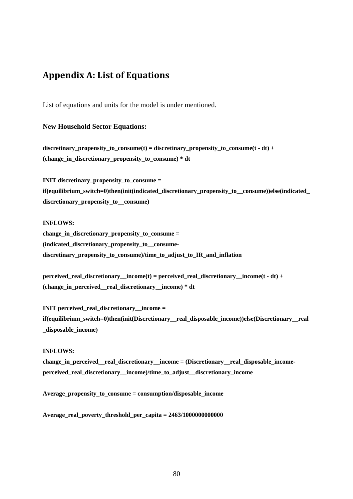# Appendix A: List of Equations

List of equations and units for the model is under mentioned.

# **New Household Sector Equations:**

discretinary propensity to consume(t) = discretinary propensity to consume(t - dt) + (change in discretionary propensity to consume)  $*$  dt

**INIT discretinary propensity to consume = if(equilibrium\_switch=0)then(init(indicated\_discretionary\_propensity\_to\_\_consume))else(indicated\_ discretionary\_propensity\_to\_\_consume)** 

## **INFLOWS:**

**change\_in\_discretionary\_propensity\_to\_consume = (indicated\_discretionary\_propensity\_to\_\_consumediscretinary\_propensity\_to\_consume)/time\_to\_adjust\_to\_IR\_and\_inflation** 

**perceived** real discretionary income(t) = perceived real discretionary income(t - dt) + **(change\_in\_perceived\_\_real\_discretionary\_\_income) \* dt** 

**INIT** perceived real discretionary income = **if(equilibrium\_switch=0)then(init(Discretionary\_\_real\_disposable\_income))else(Discretionary\_\_real \_disposable\_income)** 

## **INFLOWS:**

change in perceived real discretionary income = (Discretionary real disposable income**perceived\_real\_discretionary\_\_income)/time\_to\_adjust\_\_discretionary\_income** 

Average propensity to consume = consumption/disposable income

**Average\_real\_poverty\_threshold\_per\_capita = 2463/1000000000000**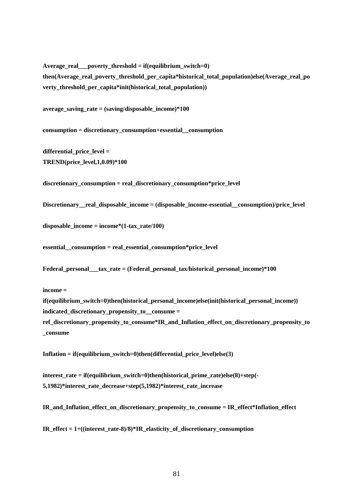**Average\_real\_\_\_poverty\_threshold = if(equilibrium\_switch=0) then(Average\_real\_poverty\_threshold\_per\_capita\*historical\_total\_population)else(Average\_real\_po verty\_threshold\_per\_capita\*init(historical\_total\_population))** 

average saving rate  $=$  (saving/disposable income)\*100

**consumption = discretionary\_consumption+essential\_\_consumption** 

differential price level = **TREND(price\_level,1,0.09)\*100** 

**discretionary\_consumption = real\_discretionary\_consumption\*price\_level** 

Discretionary real disposable income = (disposable income-essential consumption)/price level

 $disposable\ income = income*(1-tax\ rate/100)$ 

**essential\_\_consumption = real\_essential\_consumption\*price\_level** 

**Federal\_personal\_\_\_tax\_rate = (Federal\_personal\_tax/historical\_personal\_income)\*100** 

**income =** 

**\_consume** 

**if(equilibrium** switch=0)then(historical personal income)else(init(historical personal income)) indicated discretionary propensity to consume = ref discretionary propensity to consume\*IR and Inflation effect on discretionary propensity to

Inflation = if(equilibrium\_switch=0)then(differential\_price\_level)else(3)  $\overline{\phantom{a}}$ 

**interest\_rate = if(equilibrium\_switch=0)then(historical\_prime\_rate)else(8)+step(- 5,1982)\*interest\_rate\_decrease+step(5,1982)\*interest\_rate\_increase** 

**IR\_and\_Inflation\_effect\_on\_discretionary\_propensity\_to\_consume = IR\_effect\*Inflation\_effect** 

**IR\_effect = 1+((interest\_rate-8)/8)\*IR\_elasticity\_of\_discretionary\_consumption**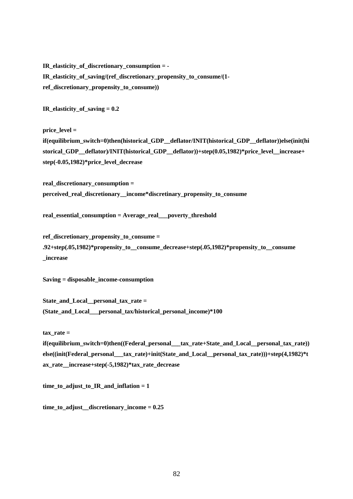**IR\_elasticity\_of\_discretionary\_consumption = - IR\_elasticity\_of\_saving/(ref\_discretionary\_propensity\_to\_consume/(1 ref\_discretionary\_propensity\_to\_consume))** 

**IR\_elasticity\_of\_saving = 0.2** 

**price\_level =** 

**if(equilibrium\_switch=0)then(historical\_GDP\_\_deflator/INIT(historical\_GDP\_\_deflator))else(init(hi** storical GDP deflator)/INIT(historical GDP deflator))+step(0.05,1982)\*price level increase+ **step(-0.05,1982)\*price\_level\_decrease** 

**real\_discretionary\_consumption = perceived\_real\_discretionary\_\_income\*discretinary\_propensity\_to\_consume** 

**real\_essential\_consumption = Average\_real\_\_\_poverty\_threshold** 

ref discretionary propensity to consume = **.92+step(.05,1982)\*propensity\_to\_\_consume\_decrease+step(.05,1982)\*propensity\_to\_\_consume \_increase** 

**Saving = disposable\_income-consumption** 

State and Local personal tax rate = **(State\_and\_Local\_\_\_personal\_tax/historical\_personal\_income)\*100** 

**tax\_rate =** 

**if(equilibrium\_switch=0)then((Federal\_personal\_\_\_tax\_rate+State\_and\_Local\_\_personal\_tax\_rate)) else((init(Federal\_personal\_\_\_tax\_rate)+init(State\_and\_Local\_\_personal\_tax\_rate)))+step(4,1982)\*t ax\_rate\_\_increase+step(-5,1982)\*tax\_rate\_decrease** 

time to adjust to IR and inflation  $= 1$ 

**time\_to\_adjust\_\_discretionary\_income = 0.25**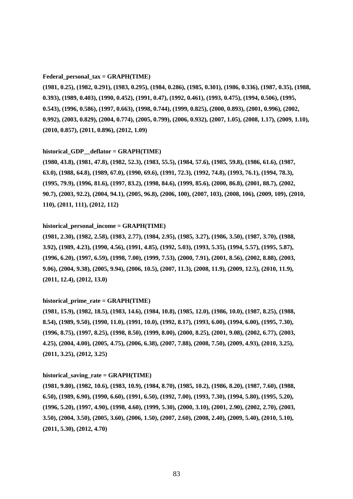#### **Federal\_personal\_tax = GRAPH(TIME)**

**(1981, 0.25), (1982, 0.291), (1983, 0.295), (1984, 0.286), (1985, 0.301), (1986, 0.336), (1987, 0.35), (1988, 0.393), (1989, 0.403), (1990, 0.452), (1991, 0.47), (1992, 0.461), (1993, 0.475), (1994, 0.506), (1995, 0.543), (1996, 0.586), (1997, 0.663), (1998, 0.744), (1999, 0.825), (2000, 0.893), (2001, 0.996), (2002, 0.992), (2003, 0.829), (2004, 0.774), (2005, 0.799), (2006, 0.932), (2007, 1.05), (2008, 1.17), (2009, 1.10), (2010, 0.857), (2011, 0.896), (2012, 1.09)** 

#### **historical\_GDP\_\_deflator = GRAPH(TIME)**

**(1980, 43.8), (1981, 47.8), (1982, 52.3), (1983, 55.5), (1984, 57.6), (1985, 59.8), (1986, 61.6), (1987, 63.0), (1988, 64.8), (1989, 67.0), (1990, 69.6), (1991, 72.3), (1992, 74.8), (1993, 76.1), (1994, 78.3), (1995, 79.9), (1996, 81.6), (1997, 83.2), (1998, 84.6), (1999, 85.6), (2000, 86.8), (2001, 88.7), (2002, 90.7), (2003, 92.2), (2004, 94.1), (2005, 96.8), (2006, 100), (2007, 103), (2008, 106), (2009, 109), (2010, 110), (2011, 111), (2012, 112)** 

#### **historical\_personal\_income = GRAPH(TIME)**

**(1981, 2.30), (1982, 2.58), (1983, 2.77), (1984, 2.95), (1985, 3.27), (1986, 3.50), (1987, 3.70), (1988, 3.92), (1989, 4.23), (1990, 4.56), (1991, 4.85), (1992, 5.03), (1993, 5.35), (1994, 5.57), (1995, 5.87), (1996, 6.20), (1997, 6.59), (1998, 7.00), (1999, 7.53), (2000, 7.91), (2001, 8.56), (2002, 8.88), (2003, 9.06), (2004, 9.38), (2005, 9.94), (2006, 10.5), (2007, 11.3), (2008, 11.9), (2009, 12.5), (2010, 11.9), (2011, 12.4), (2012, 13.0)** 

## **historical\_prime\_rate = GRAPH(TIME)**

**(1981, 15.9), (1982, 18.5), (1983, 14.6), (1984, 10.8), (1985, 12.0), (1986, 10.0), (1987, 8.25), (1988, 8.54), (1989, 9.50), (1990, 11.0), (1991, 10.0), (1992, 8.17), (1993, 6.00), (1994, 6.00), (1995, 7.30), (1996, 8.75), (1997, 8.25), (1998, 8.50), (1999, 8.00), (2000, 8.25), (2001, 9.08), (2002, 6.77), (2003, 4.25), (2004, 4.00), (2005, 4.75), (2006, 6.38), (2007, 7.88), (2008, 7.50), (2009, 4.93), (2010, 3.25), (2011, 3.25), (2012, 3.25)** 

#### **historical\_saving\_rate = GRAPH(TIME)**

**(1981, 9.80), (1982, 10.6), (1983, 10.9), (1984, 8.70), (1985, 10.2), (1986, 8.20), (1987, 7.60), (1988, 6.50), (1989, 6.90), (1990, 6.60), (1991, 6.50), (1992, 7.00), (1993, 7.30), (1994, 5.80), (1995, 5.20), (1996, 5.20), (1997, 4.90), (1998, 4.60), (1999, 5.30), (2000, 3.10), (2001, 2.90), (2002, 2.70), (2003, 3.50), (2004, 3.50), (2005, 3.60), (2006, 1.50), (2007, 2.60), (2008, 2.40), (2009, 5.40), (2010, 5.10), (2011, 5.30), (2012, 4.70)**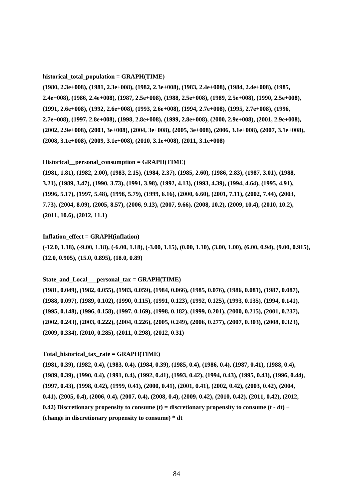#### **historical\_total\_population = GRAPH(TIME)**

**(1980, 2.3e+008), (1981, 2.3e+008), (1982, 2.3e+008), (1983, 2.4e+008), (1984, 2.4e+008), (1985, 2.4e+008), (1986, 2.4e+008), (1987, 2.5e+008), (1988, 2.5e+008), (1989, 2.5e+008), (1990, 2.5e+008), (1991, 2.6e+008), (1992, 2.6e+008), (1993, 2.6e+008), (1994, 2.7e+008), (1995, 2.7e+008), (1996, 2.7e+008), (1997, 2.8e+008), (1998, 2.8e+008), (1999, 2.8e+008), (2000, 2.9e+008), (2001, 2.9e+008), (2002, 2.9e+008), (2003, 3e+008), (2004, 3e+008), (2005, 3e+008), (2006, 3.1e+008), (2007, 3.1e+008), (2008, 3.1e+008), (2009, 3.1e+008), (2010, 3.1e+008), (2011, 3.1e+008)** 

#### **Historical\_\_personal\_consumption = GRAPH(TIME)**

**(1981, 1.81), (1982, 2.00), (1983, 2.15), (1984, 2.37), (1985, 2.60), (1986, 2.83), (1987, 3.01), (1988, 3.21), (1989, 3.47), (1990, 3.73), (1991, 3.98), (1992, 4.13), (1993, 4.39), (1994, 4.64), (1995, 4.91), (1996, 5.17), (1997, 5.48), (1998, 5.79), (1999, 6.16), (2000, 6.60), (2001, 7.11), (2002, 7.44), (2003, 7.73), (2004, 8.09), (2005, 8.57), (2006, 9.13), (2007, 9.66), (2008, 10.2), (2009, 10.4), (2010, 10.2), (2011, 10.6), (2012, 11.1)** 

#### **Inflation\_effect = GRAPH(inflation)**

**(-12.0, 1.18), (-9.00, 1.18), (-6.00, 1.18), (-3.00, 1.15), (0.00, 1.10), (3.00, 1.00), (6.00, 0.94), (9.00, 0.915), (12.0, 0.905), (15.0, 0.895), (18.0, 0.89)** 

#### State and Local personal  $tax = GRAPH(TIME)$

**(1981, 0.049), (1982, 0.055), (1983, 0.059), (1984, 0.066), (1985, 0.076), (1986, 0.081), (1987, 0.087), (1988, 0.097), (1989, 0.102), (1990, 0.115), (1991, 0.123), (1992, 0.125), (1993, 0.135), (1994, 0.141), (1995, 0.148), (1996, 0.158), (1997, 0.169), (1998, 0.182), (1999, 0.201), (2000, 0.215), (2001, 0.237), (2002, 0.243), (2003, 0.222), (2004, 0.226), (2005, 0.249), (2006, 0.277), (2007, 0.303), (2008, 0.323), (2009, 0.334), (2010, 0.285), (2011, 0.298), (2012, 0.31)** 

#### **Total\_historical\_tax\_rate = GRAPH(TIME)**

**(1981, 0.39), (1982, 0.4), (1983, 0.4), (1984, 0.39), (1985, 0.4), (1986, 0.4), (1987, 0.41), (1988, 0.4), (1989, 0.39), (1990, 0.4), (1991, 0.4), (1992, 0.41), (1993, 0.42), (1994, 0.43), (1995, 0.43), (1996, 0.44), (1997, 0.43), (1998, 0.42), (1999, 0.41), (2000, 0.41), (2001, 0.41), (2002, 0.42), (2003, 0.42), (2004, 0.41), (2005, 0.4), (2006, 0.4), (2007, 0.4), (2008, 0.4), (2009, 0.42), (2010, 0.42), (2011, 0.42), (2012, 0.42)** Discretionary propensity to consume (t) = discretionary propensity to consume (t - dt) + **(change in discretionary propensity to consume) \* dt**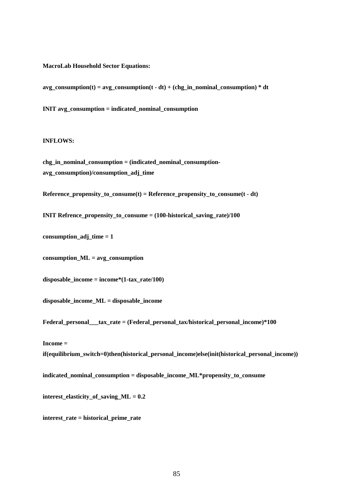#### **MacroLab Household Sector Equations:**

 $avg\_consumption(t) = avg\_consumption(t - dt) + (chg_in\_nominal\_consumption) * dt$ 

**INIT avg** consumption = indicated nominal consumption

## **INFLOWS:**

**chg\_in\_nominal\_consumption = (indicated\_nominal\_consumptionavg\_consumption)/consumption\_adj\_time** 

Reference propensity to consume(t) = Reference propensity to consume(t - dt)

**INIT Refrence propensity to consume = (100-historical saving rate)/100** 

consumption  $\text{adj}\, \text{time} = 1$ 

**consumption\_ML = avg\_consumption** 

disposable income = income\* $(1-tax rate/100)$ 

**disposable\_income\_ML = disposable\_income** 

Federal personal tax rate = (Federal personal tax/historical personal income)\*100

#### **Income =**

**if(equilibrium** switch=0)then(historical personal income)else(init(historical personal income))

**indicated\_nominal\_consumption = disposable\_income\_ML\*propensity\_to\_consume** 

**interest\_elasticity\_of\_saving\_ML = 0.2** 

**interest\_rate = historical\_prime\_rate**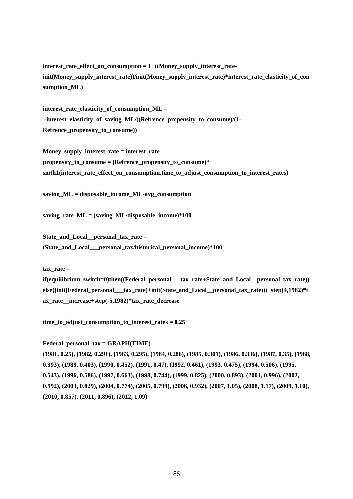**interest\_rate\_effect\_on\_consumption = 1+((Money\_supply\_interest\_rateinit(Money\_supply\_interest\_rate))/init(Money\_supply\_interest\_rate)\*interest\_rate\_elasticity\_of\_con sumption\_ML)** 

interest rate elasticity of consumption ML = -interest elasticity of saving ML/((Refrence propensity to consume)/(1-**Refrence\_propensity\_to\_consume))** 

**Money\_supply\_interest\_rate = interest\_rate propensity\_to\_consume = (Refrence\_propensity\_to\_consume)\***  smth1(interest rate effect on consumption,time to adjust consumption to interest rates)

**saving\_ML = disposable\_income\_ML-avg\_consumption** 

saving rate  $ML = (saving ML/disposable income)*100$ 

State and Local personal tax rate = **(State\_and\_Local\_\_\_personal\_tax/historical\_personal\_income)\*100** 

 $\textbf{tax rate} =$ 

**if(equilibrium\_switch=0)then((Federal\_personal\_\_\_tax\_rate+State\_and\_Local\_\_personal\_tax\_rate)) else((init(Federal\_personal\_\_\_tax\_rate)+init(State\_and\_Local\_\_personal\_tax\_rate)))+step(4,1982)\*t ax\_rate\_\_increase+step(-5,1982)\*tax\_rate\_decrease** 

**time\_to\_adjust\_consumption\_to\_interest\_rates = 0.25**

**Federal\_personal\_tax = GRAPH(TIME)** 

**(1981, 0.25), (1982, 0.291), (1983, 0.295), (1984, 0.286), (1985, 0.301), (1986, 0.336), (1987, 0.35), (1988, 0.393), (1989, 0.403), (1990, 0.452), (1991, 0.47), (1992, 0.461), (1993, 0.475), (1994, 0.506), (1995, 0.543), (1996, 0.586), (1997, 0.663), (1998, 0.744), (1999, 0.825), (2000, 0.893), (2001, 0.996), (2002, 0.992), (2003, 0.829), (2004, 0.774), (2005, 0.799), (2006, 0.932), (2007, 1.05), (2008, 1.17), (2009, 1.10), (2010, 0.857), (2011, 0.896), (2012, 1.09)**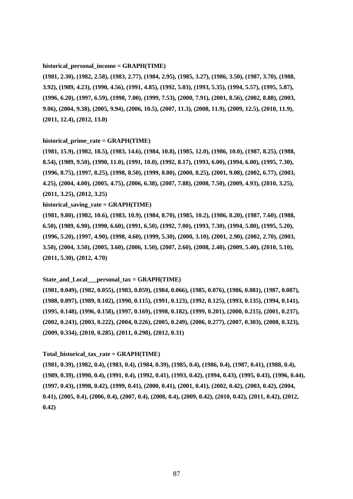#### **historical\_personal\_income = GRAPH(TIME)**

**(1981, 2.30), (1982, 2.58), (1983, 2.77), (1984, 2.95), (1985, 3.27), (1986, 3.50), (1987, 3.70), (1988, 3.92), (1989, 4.23), (1990, 4.56), (1991, 4.85), (1992, 5.03), (1993, 5.35), (1994, 5.57), (1995, 5.87), (1996, 6.20), (1997, 6.59), (1998, 7.00), (1999, 7.53), (2000, 7.91), (2001, 8.56), (2002, 8.88), (2003, 9.06), (2004, 9.38), (2005, 9.94), (2006, 10.5), (2007, 11.3), (2008, 11.9), (2009, 12.5), (2010, 11.9), (2011, 12.4), (2012, 13.0)** 

#### **historical\_prime\_rate = GRAPH(TIME)**

**(1981, 15.9), (1982, 18.5), (1983, 14.6), (1984, 10.8), (1985, 12.0), (1986, 10.0), (1987, 8.25), (1988, 8.54), (1989, 9.50), (1990, 11.0), (1991, 10.0), (1992, 8.17), (1993, 6.00), (1994, 6.00), (1995, 7.30), (1996, 8.75), (1997, 8.25), (1998, 8.50), (1999, 8.00), (2000, 8.25), (2001, 9.08), (2002, 6.77), (2003, 4.25), (2004, 4.00), (2005, 4.75), (2006, 6.38), (2007, 7.88), (2008, 7.50), (2009, 4.93), (2010, 3.25), (2011, 3.25), (2012, 3.25)** 

#### **historical\_saving\_rate = GRAPH(TIME)**

**(1981, 9.80), (1982, 10.6), (1983, 10.9), (1984, 8.70), (1985, 10.2), (1986, 8.20), (1987, 7.60), (1988, 6.50), (1989, 6.90), (1990, 6.60), (1991, 6.50), (1992, 7.00), (1993, 7.30), (1994, 5.80), (1995, 5.20), (1996, 5.20), (1997, 4.90), (1998, 4.60), (1999, 5.30), (2000, 3.10), (2001, 2.90), (2002, 2.70), (2003, 3.50), (2004, 3.50), (2005, 3.60), (2006, 1.50), (2007, 2.60), (2008, 2.40), (2009, 5.40), (2010, 5.10), (2011, 5.30), (2012, 4.70)** 

#### State and Local personal  $tax = GRAPH(TIME)$

**(1981, 0.049), (1982, 0.055), (1983, 0.059), (1984, 0.066), (1985, 0.076), (1986, 0.081), (1987, 0.087), (1988, 0.097), (1989, 0.102), (1990, 0.115), (1991, 0.123), (1992, 0.125), (1993, 0.135), (1994, 0.141), (1995, 0.148), (1996, 0.158), (1997, 0.169), (1998, 0.182), (1999, 0.201), (2000, 0.215), (2001, 0.237), (2002, 0.243), (2003, 0.222), (2004, 0.226), (2005, 0.249), (2006, 0.277), (2007, 0.303), (2008, 0.323), (2009, 0.334), (2010, 0.285), (2011, 0.298), (2012, 0.31)** 

#### **Total\_historical\_tax\_rate = GRAPH(TIME)**

**(1981, 0.39), (1982, 0.4), (1983, 0.4), (1984, 0.39), (1985, 0.4), (1986, 0.4), (1987, 0.41), (1988, 0.4), (1989, 0.39), (1990, 0.4), (1991, 0.4), (1992, 0.41), (1993, 0.42), (1994, 0.43), (1995, 0.43), (1996, 0.44), (1997, 0.43), (1998, 0.42), (1999, 0.41), (2000, 0.41), (2001, 0.41), (2002, 0.42), (2003, 0.42), (2004, 0.41), (2005, 0.4), (2006, 0.4), (2007, 0.4), (2008, 0.4), (2009, 0.42), (2010, 0.42), (2011, 0.42), (2012, 0.42)**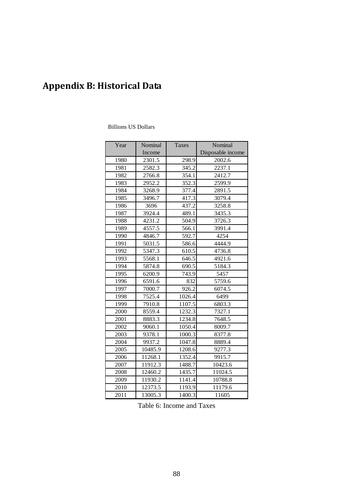# Appendix B: Historical Data

# Billions US Dollars

| Year | Nominal | <b>Taxes</b> | Nominal           |
|------|---------|--------------|-------------------|
|      | Income  |              | Disposable income |
| 1980 | 2301.5  | 298.9        | 2002.6            |
| 1981 | 2582.3  | 345.2        | 2237.1            |
| 1982 | 2766.8  | 354.1        | 2412.7            |
| 1983 | 2952.2  | 352.3        | 2599.9            |
| 1984 | 3268.9  | 377.4        | 2891.5            |
| 1985 | 3496.7  | 417.3        | 3079.4            |
| 1986 | 3696    | 437.2        | 3258.8            |
| 1987 | 3924.4  | 489.1        | 3435.3            |
| 1988 | 4231.2  | 504.9        | 3726.3            |
| 1989 | 4557.5  | 566.1        | 3991.4            |
| 1990 | 4846.7  | 592.7        | 4254              |
| 1991 | 5031.5  | 586.6        | 4444.9            |
| 1992 | 5347.3  | 610.5        | 4736.8            |
| 1993 | 5568.1  | 646.5        | 4921.6            |
| 1994 | 5874.8  | 690.5        | 5184.3            |
| 1995 | 6200.9  | 743.9        | 5457              |
| 1996 | 6591.6  | 832          | 5759.6            |
| 1997 | 7000.7  | 926.2        | 6074.5            |
| 1998 | 7525.4  | 1026.4       | 6499              |
| 1999 | 7910.8  | 1107.5       | 6803.3            |
| 2000 | 8559.4  | 1232.3       | 7327.1            |
| 2001 | 8883.3  | 1234.8       | 7648.5            |
| 2002 | 9060.1  | 1050.4       | 8009.7            |
| 2003 | 9378.1  | 1000.3       | 8377.8            |
| 2004 | 9937.2  | 1047.8       | 8889.4            |
| 2005 | 10485.9 | 1208.6       | 9277.3            |
| 2006 | 11268.1 | 1352.4       | 9915.7            |
| 2007 | 11912.3 | 1488.7       | 10423.6           |
| 2008 | 12460.2 | 1435.7       | 11024.5           |
| 2009 | 11930.2 | 1141.4       | 10788.8           |
| 2010 | 12373.5 | 1193.9       | 11179.6           |
| 2011 | 13005.3 | 1400.3       | 11605             |

Table 6: Income and Taxes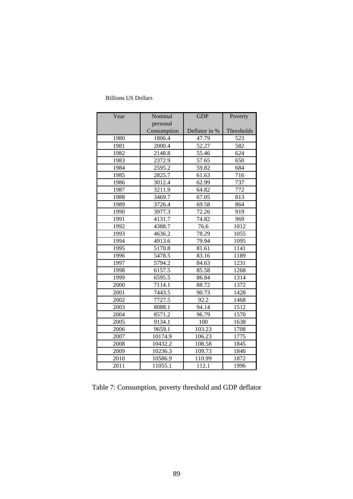| Year         | Nominal                 | <b>GDP</b>     | Poverty    |
|--------------|-------------------------|----------------|------------|
|              | personal<br>Consumption | Deflator in %  | Thresholds |
| 1980         | 1806.4                  | 47.79          | 523        |
| 1981         | 2000.4                  | 52.27          | 582        |
|              |                         |                |            |
| 1982<br>1983 | 2148.8<br>2372.9        | 55.46<br>57.65 | 624<br>650 |
| 1984         | 2595.2                  | 59.82          | 684        |
| 1985         | 2825.7                  | 61.63          | 716        |
| 1986         | 3012.4                  | 62.99          | 737        |
| 1987         | 3211.9                  | 64.82          | 772        |
| 1988         | 3469.7                  | 67.05          | 813        |
| 1989         | 3726.4                  | 69.58          | 864        |
| 1990         | 3977.3                  | 72.26          | 919        |
| 1991         | 4131.7                  | 74.82          | 969        |
| 1992         | 4388.7                  | 76.6           | 1012       |
| 1993         | 4636.2                  | 78.29          | 1055       |
| 1994         | 4913.6                  | 79.94          | 1095       |
| 1995         | 5170.8                  | 81.61          | 1141       |
| 1996         | 5478.5                  | 83.16          | 1189       |
| 1997         | 5794.2                  | 84.63          | 1231       |
| 1998         | 6157.5                  | 85.58          | 1268       |
| 1999         | 6595.5                  | 86.84          | 1314       |
| 2000         | 7114.1                  | 88.72          | 1372       |
| 2001         | 7443.5                  | 90.73          | 1428       |
| 2002         | 7727.5                  | 92.2           | 1468       |
| 2003         | 8088.1                  | 94.14          | 1512       |
| 2004         | 8571.2                  | 96.79          | 1570       |
| 2005         | 9134.1                  | 100            | 1638       |
| 2006         | 9659.1                  | 103.23         | 1708       |
| 2007         | 10174.9                 | 106.23         | 1775       |
| 2008         | 10432.2                 | 108.58         | 1845       |
| 2009         | 10236.3                 | 109.73         | 1846       |
| 2010         | 10586.9                 | 110.99         | 1872       |
| 2011         | 11055.1                 | 112.1          | 1996       |

# Billions US Dollars

Table 7: Consumption, poverty threshold and GDP deflator